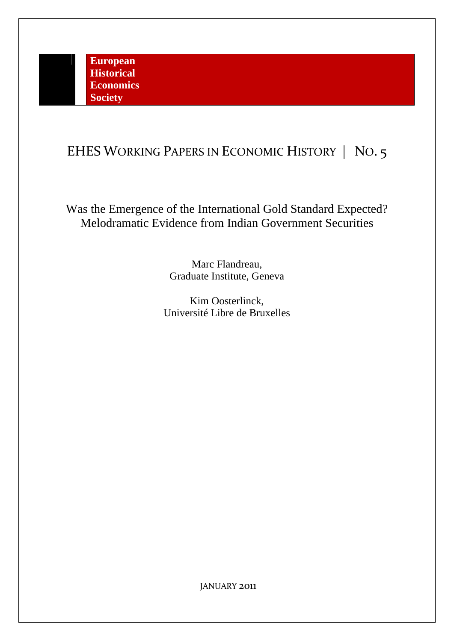# EHES WORKING PAPERS IN ECONOMIC HISTORY | NO. 5

Was the Emergence of the International Gold Standard Expected? Melodramatic Evidence from Indian Government Securities

> Marc Flandreau, Graduate Institute, Geneva

Kim Oosterlinck, Université Libre de Bruxelles

JANUARY 2011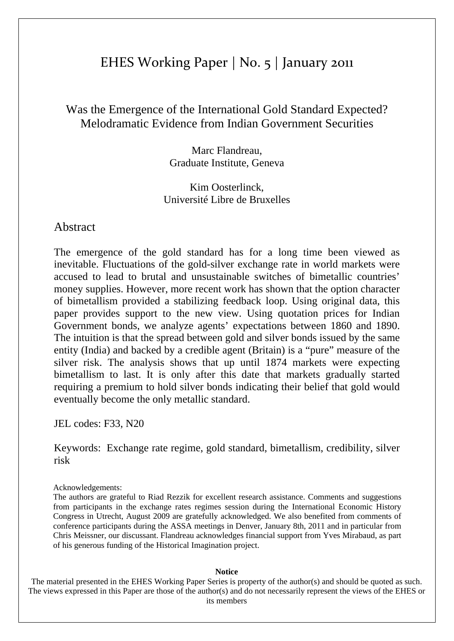# EHES Working Paper | No. 5 | January 2011

# Was the Emergence of the International Gold Standard Expected? Melodramatic Evidence from Indian Government Securities

Marc Flandreau, Graduate Institute, Geneva

# Kim Oosterlinck, Université Libre de Bruxelles

# Abstract

The emergence of the gold standard has for a long time been viewed as inevitable. Fluctuations of the gold-silver exchange rate in world markets were accused to lead to brutal and unsustainable switches of bimetallic countries' money supplies. However, more recent work has shown that the option character of bimetallism provided a stabilizing feedback loop. Using original data, this paper provides support to the new view. Using quotation prices for Indian Government bonds, we analyze agents' expectations between 1860 and 1890. The intuition is that the spread between gold and silver bonds issued by the same entity (India) and backed by a credible agent (Britain) is a "pure" measure of the silver risk. The analysis shows that up until 1874 markets were expecting bimetallism to last. It is only after this date that markets gradually started requiring a premium to hold silver bonds indicating their belief that gold would eventually become the only metallic standard.

JEL codes: F33, N20

Keywords: Exchange rate regime, gold standard, bimetallism, credibility, silver risk

Acknowledgements:

 The authors are grateful to Riad Rezzik for excellent research assistance. Comments and suggestions from participants in the exchange rates regimes session during the International Economic History Congress in Utrecht, August 2009 are gratefully acknowledged. We also benefited from comments of conference participants during the ASSA meetings in Denver, January 8th, 2011 and in particular from Chris Meissner, our discussant. Flandreau acknowledges financial support from Yves Mirabaud, as part of his generous funding of the Historical Imagination project.

**Notice** 

The material presented in the EHES Working Paper Series is property of the author(s) and should be quoted as such. The views expressed in this Paper are those of the author(s) and do not necessarily represent the views of the EHES or its members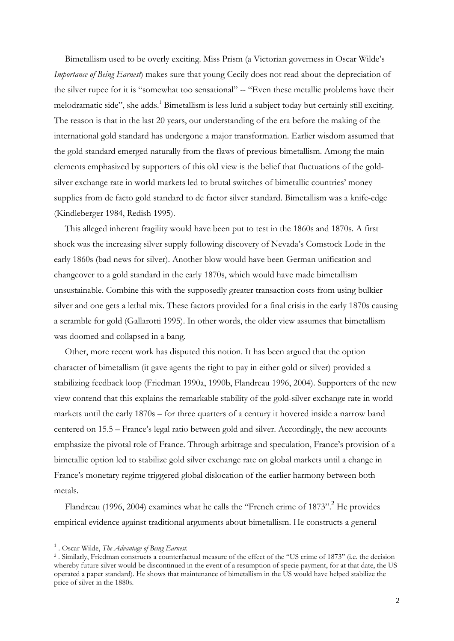Bimetallism used to be overly exciting. Miss Prism (a Victorian governess in Oscar Wilde's *Importance of Being Earnest*) makes sure that young Cecily does not read about the depreciation of the silver rupee for it is "somewhat too sensational" -- "Even these metallic problems have their melodramatic side", she adds.<sup>1</sup> Bimetallism is less lurid a subject today but certainly still exciting. The reason is that in the last 20 years, our understanding of the era before the making of the international gold standard has undergone a major transformation. Earlier wisdom assumed that the gold standard emerged naturally from the flaws of previous bimetallism. Among the main elements emphasized by supporters of this old view is the belief that fluctuations of the goldsilver exchange rate in world markets led to brutal switches of bimetallic countries' money supplies from de facto gold standard to de factor silver standard. Bimetallism was a knife-edge (Kindleberger 1984, Redish 1995).

This alleged inherent fragility would have been put to test in the 1860s and 1870s. A first shock was the increasing silver supply following discovery of Nevada's Comstock Lode in the early 1860s (bad news for silver). Another blow would have been German unification and changeover to a gold standard in the early 1870s, which would have made bimetallism unsustainable. Combine this with the supposedly greater transaction costs from using bulkier silver and one gets a lethal mix. These factors provided for a final crisis in the early 1870s causing a scramble for gold (Gallarotti 1995). In other words, the older view assumes that bimetallism was doomed and collapsed in a bang.

Other, more recent work has disputed this notion. It has been argued that the option character of bimetallism (it gave agents the right to pay in either gold or silver) provided a stabilizing feedback loop (Friedman 1990a, 1990b, Flandreau 1996, 2004). Supporters of the new view contend that this explains the remarkable stability of the gold-silver exchange rate in world markets until the early 1870s – for three quarters of a century it hovered inside a narrow band centered on 15.5 – France's legal ratio between gold and silver. Accordingly, the new accounts emphasize the pivotal role of France. Through arbitrage and speculation, France's provision of a bimetallic option led to stabilize gold silver exchange rate on global markets until a change in France's monetary regime triggered global dislocation of the earlier harmony between both metals.

Flandreau (1996, 2004) examines what he calls the "French crime of 1873".<sup>2</sup> He provides empirical evidence against traditional arguments about bimetallism. He constructs a general

<sup>&</sup>lt;sup>1</sup>. Oscar Wilde, The Advantage of Being Earnest.

<sup>&</sup>lt;sup>2</sup>. Similarly, Friedman constructs a counterfactual measure of the effect of the "US crime of 1873" (i.e. the decision whereby future silver would be discontinued in the event of a resumption of specie payment, for at that date, the US operated a paper standard). He shows that maintenance of bimetallism in the US would have helped stabilize the price of silver in the 1880s.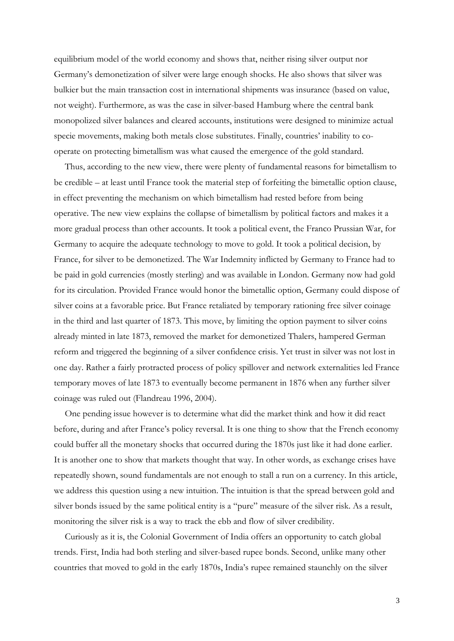equilibrium model of the world economy and shows that, neither rising silver output nor Germany's demonetization of silver were large enough shocks. He also shows that silver was bulkier but the main transaction cost in international shipments was insurance (based on value, not weight). Furthermore, as was the case in silver-based Hamburg where the central bank monopolized silver balances and cleared accounts, institutions were designed to minimize actual specie movements, making both metals close substitutes. Finally, countries' inability to cooperate on protecting bimetallism was what caused the emergence of the gold standard.

Thus, according to the new view, there were plenty of fundamental reasons for bimetallism to be credible – at least until France took the material step of forfeiting the bimetallic option clause, in effect preventing the mechanism on which bimetallism had rested before from being operative. The new view explains the collapse of bimetallism by political factors and makes it a more gradual process than other accounts. It took a political event, the Franco Prussian War, for Germany to acquire the adequate technology to move to gold. It took a political decision, by France, for silver to be demonetized. The War Indemnity inflicted by Germany to France had to be paid in gold currencies (mostly sterling) and was available in London. Germany now had gold for its circulation. Provided France would honor the bimetallic option, Germany could dispose of silver coins at a favorable price. But France retaliated by temporary rationing free silver coinage in the third and last quarter of 1873. This move, by limiting the option payment to silver coins already minted in late 1873, removed the market for demonetized Thalers, hampered German reform and triggered the beginning of a silver confidence crisis. Yet trust in silver was not lost in one day. Rather a fairly protracted process of policy spillover and network externalities led France temporary moves of late 1873 to eventually become permanent in 1876 when any further silver coinage was ruled out (Flandreau 1996, 2004).

One pending issue however is to determine what did the market think and how it did react before, during and after France's policy reversal. It is one thing to show that the French economy could buffer all the monetary shocks that occurred during the 1870s just like it had done earlier. It is another one to show that markets thought that way. In other words, as exchange crises have repeatedly shown, sound fundamentals are not enough to stall a run on a currency. In this article, we address this question using a new intuition. The intuition is that the spread between gold and silver bonds issued by the same political entity is a "pure" measure of the silver risk. As a result, monitoring the silver risk is a way to track the ebb and flow of silver credibility.

Curiously as it is, the Colonial Government of India offers an opportunity to catch global trends. First, India had both sterling and silver-based rupee bonds. Second, unlike many other countries that moved to gold in the early 1870s, India's rupee remained staunchly on the silver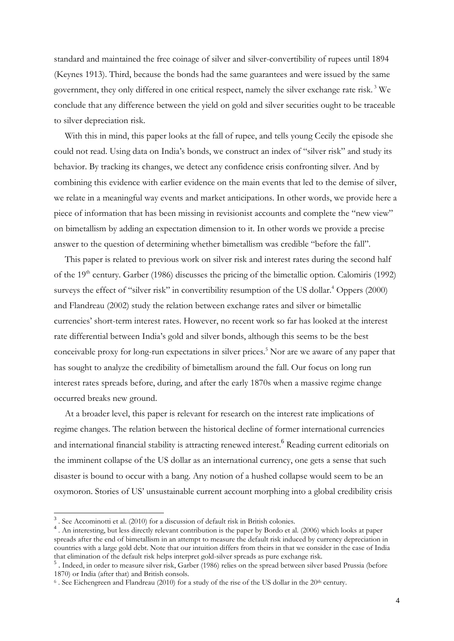standard and maintained the free coinage of silver and silver-convertibility of rupees until 1894 (Keynes 1913). Third, because the bonds had the same guarantees and were issued by the same government, they only differed in one critical respect, namely the silver exchange rate risk. 3 We conclude that any difference between the yield on gold and silver securities ought to be traceable to silver depreciation risk.

With this in mind, this paper looks at the fall of rupee, and tells young Cecily the episode she could not read. Using data on India's bonds, we construct an index of "silver risk" and study its behavior. By tracking its changes, we detect any confidence crisis confronting silver. And by combining this evidence with earlier evidence on the main events that led to the demise of silver, we relate in a meaningful way events and market anticipations. In other words, we provide here a piece of information that has been missing in revisionist accounts and complete the "new view" on bimetallism by adding an expectation dimension to it. In other words we provide a precise answer to the question of determining whether bimetallism was credible "before the fall".

This paper is related to previous work on silver risk and interest rates during the second half of the  $19<sup>th</sup>$  century. Garber (1986) discusses the pricing of the bimetallic option. Calomiris (1992) surveys the effect of "silver risk" in convertibility resumption of the US dollar.<sup>4</sup> Oppers (2000) and Flandreau (2002) study the relation between exchange rates and silver or bimetallic currencies' short-term interest rates. However, no recent work so far has looked at the interest rate differential between India's gold and silver bonds, although this seems to be the best conceivable proxy for long-run expectations in silver prices.<sup>5</sup> Nor are we aware of any paper that has sought to analyze the credibility of bimetallism around the fall. Our focus on long run interest rates spreads before, during, and after the early 1870s when a massive regime change occurred breaks new ground.

At a broader level, this paper is relevant for research on the interest rate implications of regime changes. The relation between the historical decline of former international currencies and international financial stability is attracting renewed interest.<sup>6</sup> Reading current editorials on the imminent collapse of the US dollar as an international currency, one gets a sense that such disaster is bound to occur with a bang. Any notion of a hushed collapse would seem to be an oxymoron. Stories of US' unsustainable current account morphing into a global credibility crisis

<sup>&</sup>lt;sup>3</sup>. See Accominotti et al. (2010) for a discussion of default risk in British colonies.

 <sup>.</sup> An interesting, but less directly relevant contribution is the paper by Bordo et al. (2006) which looks at paper spreads after the end of bimetallism in an attempt to measure the default risk induced by currency depreciation in countries with a large gold debt. Note that our intuition differs from theirs in that we consider in the case of India that elimination of the default risk helps interpret gold-silver spreads as pure exchange risk.

<sup>&</sup>lt;sup>5</sup>. Indeed, in order to measure silver risk, Garber (1986) relies on the spread between silver based Prussia (before 1870) or India (after that) and British consols.

 $6$ . See Eichengreen and Flandreau (2010) for a study of the rise of the US dollar in the 20<sup>th</sup> century.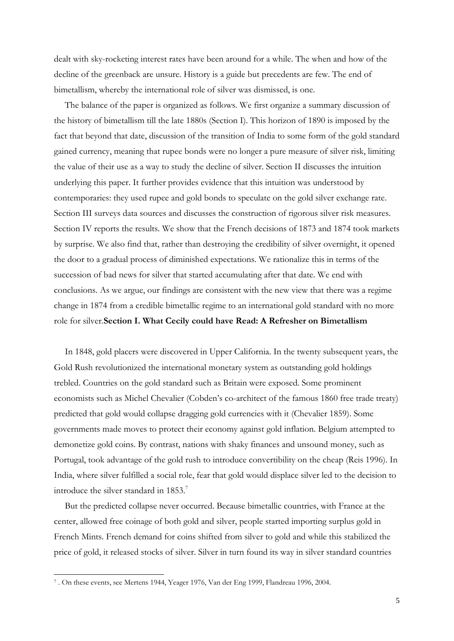dealt with sky-rocketing interest rates have been around for a while. The when and how of the decline of the greenback are unsure. History is a guide but precedents are few. The end of bimetallism, whereby the international role of silver was dismissed, is one.

The balance of the paper is organized as follows. We first organize a summary discussion of the history of bimetallism till the late 1880s (Section I). This horizon of 1890 is imposed by the fact that beyond that date, discussion of the transition of India to some form of the gold standard gained currency, meaning that rupee bonds were no longer a pure measure of silver risk, limiting the value of their use as a way to study the decline of silver. Section II discusses the intuition underlying this paper. It further provides evidence that this intuition was understood by contemporaries: they used rupee and gold bonds to speculate on the gold silver exchange rate. Section III surveys data sources and discusses the construction of rigorous silver risk measures. Section IV reports the results. We show that the French decisions of 1873 and 1874 took markets by surprise. We also find that, rather than destroying the credibility of silver overnight, it opened the door to a gradual process of diminished expectations. We rationalize this in terms of the succession of bad news for silver that started accumulating after that date. We end with conclusions. As we argue, our findings are consistent with the new view that there was a regime change in 1874 from a credible bimetallic regime to an international gold standard with no more role for silver.**Section I. What Cecily could have Read: A Refresher on Bimetallism** 

In 1848, gold placers were discovered in Upper California. In the twenty subsequent years, the Gold Rush revolutionized the international monetary system as outstanding gold holdings trebled. Countries on the gold standard such as Britain were exposed. Some prominent economists such as Michel Chevalier (Cobden's co-architect of the famous 1860 free trade treaty) predicted that gold would collapse dragging gold currencies with it (Chevalier 1859). Some governments made moves to protect their economy against gold inflation. Belgium attempted to demonetize gold coins. By contrast, nations with shaky finances and unsound money, such as Portugal, took advantage of the gold rush to introduce convertibility on the cheap (Reis 1996). In India, where silver fulfilled a social role, fear that gold would displace silver led to the decision to introduce the silver standard in 1853.<sup>7</sup>

But the predicted collapse never occurred. Because bimetallic countries, with France at the center, allowed free coinage of both gold and silver, people started importing surplus gold in French Mints. French demand for coins shifted from silver to gold and while this stabilized the price of gold, it released stocks of silver. Silver in turn found its way in silver standard countries

<sup>7 .</sup> On these events, see Mertens 1944, Yeager 1976, Van der Eng 1999, Flandreau 1996, 2004.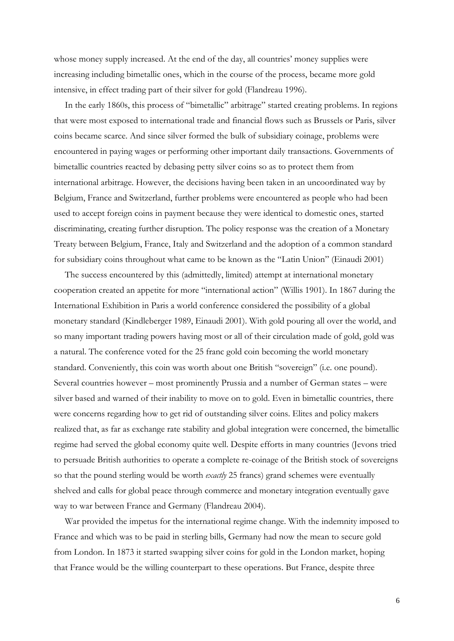whose money supply increased. At the end of the day, all countries' money supplies were increasing including bimetallic ones, which in the course of the process, became more gold intensive, in effect trading part of their silver for gold (Flandreau 1996).

In the early 1860s, this process of "bimetallic" arbitrage" started creating problems. In regions that were most exposed to international trade and financial flows such as Brussels or Paris, silver coins became scarce. And since silver formed the bulk of subsidiary coinage, problems were encountered in paying wages or performing other important daily transactions. Governments of bimetallic countries reacted by debasing petty silver coins so as to protect them from international arbitrage. However, the decisions having been taken in an uncoordinated way by Belgium, France and Switzerland, further problems were encountered as people who had been used to accept foreign coins in payment because they were identical to domestic ones, started discriminating, creating further disruption. The policy response was the creation of a Monetary Treaty between Belgium, France, Italy and Switzerland and the adoption of a common standard for subsidiary coins throughout what came to be known as the "Latin Union" (Einaudi 2001)

The success encountered by this (admittedly, limited) attempt at international monetary cooperation created an appetite for more "international action" (Willis 1901). In 1867 during the International Exhibition in Paris a world conference considered the possibility of a global monetary standard (Kindleberger 1989, Einaudi 2001). With gold pouring all over the world, and so many important trading powers having most or all of their circulation made of gold, gold was a natural. The conference voted for the 25 franc gold coin becoming the world monetary standard. Conveniently, this coin was worth about one British "sovereign" (i.e. one pound). Several countries however – most prominently Prussia and a number of German states – were silver based and warned of their inability to move on to gold. Even in bimetallic countries, there were concerns regarding how to get rid of outstanding silver coins. Elites and policy makers realized that, as far as exchange rate stability and global integration were concerned, the bimetallic regime had served the global economy quite well. Despite efforts in many countries (Jevons tried to persuade British authorities to operate a complete re-coinage of the British stock of sovereigns so that the pound sterling would be worth *exactly* 25 francs) grand schemes were eventually shelved and calls for global peace through commerce and monetary integration eventually gave way to war between France and Germany (Flandreau 2004).

War provided the impetus for the international regime change. With the indemnity imposed to France and which was to be paid in sterling bills, Germany had now the mean to secure gold from London. In 1873 it started swapping silver coins for gold in the London market, hoping that France would be the willing counterpart to these operations. But France, despite three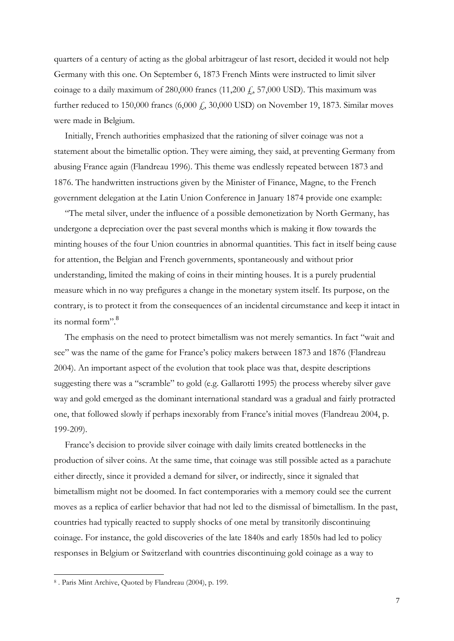quarters of a century of acting as the global arbitrageur of last resort, decided it would not help Germany with this one. On September 6, 1873 French Mints were instructed to limit silver coinage to a daily maximum of 280,000 francs  $(11,200 \text{ f}, 57,000 \text{ USD})$ . This maximum was further reduced to 150,000 francs  $(6,000 \text{ f}, 30,000 \text{ USD})$  on November 19, 1873. Similar moves were made in Belgium.

Initially, French authorities emphasized that the rationing of silver coinage was not a statement about the bimetallic option. They were aiming, they said, at preventing Germany from abusing France again (Flandreau 1996). This theme was endlessly repeated between 1873 and 1876. The handwritten instructions given by the Minister of Finance, Magne, to the French government delegation at the Latin Union Conference in January 1874 provide one example:

"The metal silver, under the influence of a possible demonetization by North Germany, has undergone a depreciation over the past several months which is making it flow towards the minting houses of the four Union countries in abnormal quantities. This fact in itself being cause for attention, the Belgian and French governments, spontaneously and without prior understanding, limited the making of coins in their minting houses. It is a purely prudential measure which in no way prefigures a change in the monetary system itself. Its purpose, on the contrary, is to protect it from the consequences of an incidental circumstance and keep it intact in its normal form".<sup>8</sup>

The emphasis on the need to protect bimetallism was not merely semantics. In fact "wait and see" was the name of the game for France's policy makers between 1873 and 1876 (Flandreau 2004). An important aspect of the evolution that took place was that, despite descriptions suggesting there was a "scramble" to gold (e.g. Gallarotti 1995) the process whereby silver gave way and gold emerged as the dominant international standard was a gradual and fairly protracted one, that followed slowly if perhaps inexorably from France's initial moves (Flandreau 2004, p. 199-209).

France's decision to provide silver coinage with daily limits created bottlenecks in the production of silver coins. At the same time, that coinage was still possible acted as a parachute either directly, since it provided a demand for silver, or indirectly, since it signaled that bimetallism might not be doomed. In fact contemporaries with a memory could see the current moves as a replica of earlier behavior that had not led to the dismissal of bimetallism. In the past, countries had typically reacted to supply shocks of one metal by transitorily discontinuing coinage. For instance, the gold discoveries of the late 1840s and early 1850s had led to policy responses in Belgium or Switzerland with countries discontinuing gold coinage as a way to

<sup>8 .</sup> Paris Mint Archive, Quoted by Flandreau (2004), p. 199.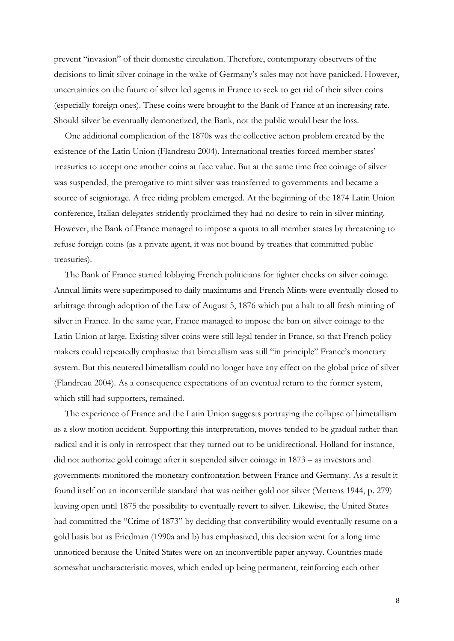prevent "invasion" of their domestic circulation. Therefore, contemporary observers of the decisions to limit silver coinage in the wake of Germany's sales may not have panicked. However, uncertainties on the future of silver led agents in France to seek to get rid of their silver coins (especially foreign ones). These coins were brought to the Bank of France at an increasing rate. Should silver be eventually demonetized, the Bank, not the public would bear the loss.

One additional complication of the 1870s was the collective action problem created by the existence of the Latin Union (Flandreau 2004). International treaties forced member states' treasuries to accept one another coins at face value. But at the same time free coinage of silver was suspended, the prerogative to mint silver was transferred to governments and became a source of seigniorage. A free riding problem emerged. At the beginning of the 1874 Latin Union conference, Italian delegates stridently proclaimed they had no desire to rein in silver minting. However, the Bank of France managed to impose a quota to all member states by threatening to refuse foreign coins (as a private agent, it was not bound by treaties that committed public treasuries).

The Bank of France started lobbying French politicians for tighter checks on silver coinage. Annual limits were superimposed to daily maximums and French Mints were eventually closed to arbitrage through adoption of the Law of August 5, 1876 which put a halt to all fresh minting of silver in France. In the same year, France managed to impose the ban on silver coinage to the Latin Union at large. Existing silver coins were still legal tender in France, so that French policy makers could repeatedly emphasize that bimetallism was still "in principle" France's monetary system. But this neutered bimetallism could no longer have any effect on the global price of silver (Flandreau 2004). As a consequence expectations of an eventual return to the former system, which still had supporters, remained.

The experience of France and the Latin Union suggests portraying the collapse of bimetallism as a slow motion accident. Supporting this interpretation, moves tended to be gradual rather than radical and it is only in retrospect that they turned out to be unidirectional. Holland for instance, did not authorize gold coinage after it suspended silver coinage in 1873 – as investors and governments monitored the monetary confrontation between France and Germany. As a result it found itself on an inconvertible standard that was neither gold nor silver (Mertens 1944, p. 279) leaving open until 1875 the possibility to eventually revert to silver. Likewise, the United States had committed the "Crime of 1873" by deciding that convertibility would eventually resume on a gold basis but as Friedman (1990a and b) has emphasized, this decision went for a long time unnoticed because the United States were on an inconvertible paper anyway. Countries made somewhat uncharacteristic moves, which ended up being permanent, reinforcing each other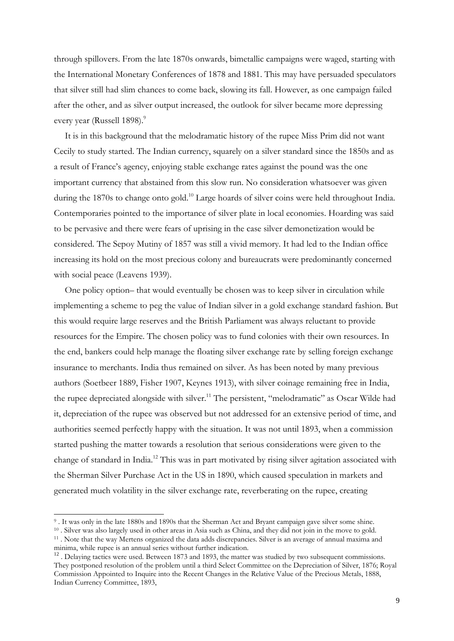through spillovers. From the late 1870s onwards, bimetallic campaigns were waged, starting with the International Monetary Conferences of 1878 and 1881. This may have persuaded speculators that silver still had slim chances to come back, slowing its fall. However, as one campaign failed after the other, and as silver output increased, the outlook for silver became more depressing every year (Russell 1898).<sup>9</sup>

It is in this background that the melodramatic history of the rupee Miss Prim did not want Cecily to study started. The Indian currency, squarely on a silver standard since the 1850s and as a result of France's agency, enjoying stable exchange rates against the pound was the one important currency that abstained from this slow run. No consideration whatsoever was given during the 1870s to change onto gold.<sup>10</sup> Large hoards of silver coins were held throughout India. Contemporaries pointed to the importance of silver plate in local economies. Hoarding was said to be pervasive and there were fears of uprising in the case silver demonetization would be considered. The Sepoy Mutiny of 1857 was still a vivid memory. It had led to the Indian office increasing its hold on the most precious colony and bureaucrats were predominantly concerned with social peace (Leavens 1939).

One policy option– that would eventually be chosen was to keep silver in circulation while implementing a scheme to peg the value of Indian silver in a gold exchange standard fashion. But this would require large reserves and the British Parliament was always reluctant to provide resources for the Empire. The chosen policy was to fund colonies with their own resources. In the end, bankers could help manage the floating silver exchange rate by selling foreign exchange insurance to merchants. India thus remained on silver. As has been noted by many previous authors (Soetbeer 1889, Fisher 1907, Keynes 1913), with silver coinage remaining free in India, the rupee depreciated alongside with silver.<sup>11</sup> The persistent, "melodramatic" as Oscar Wilde had it, depreciation of the rupee was observed but not addressed for an extensive period of time, and authorities seemed perfectly happy with the situation. It was not until 1893, when a commission started pushing the matter towards a resolution that serious considerations were given to the change of standard in India.12 This was in part motivated by rising silver agitation associated with the Sherman Silver Purchase Act in the US in 1890, which caused speculation in markets and generated much volatility in the silver exchange rate, reverberating on the rupee, creating

<sup>9 .</sup> It was only in the late 1880s and 1890s that the Sherman Act and Bryant campaign gave silver some shine.

<sup>&</sup>lt;sup>10</sup> . Silver was also largely used in other areas in Asia such as China, and they did not join in the move to gold. 11 . Note that the way Mertens organized the data adds discrepancies. Silver is an average of annual maxima and

minima, while rupee is an annual series without further indication.<br><sup>12</sup> . Delaying tactics were used. Between 1873 and 1893, the matter was studied by two subsequent commissions. They postponed resolution of the problem until a third Select Committee on the Depreciation of Silver, 1876; Royal Commission Appointed to Inquire into the Recent Changes in the Relative Value of the Precious Metals, 1888, Indian Currency Committee, 1893,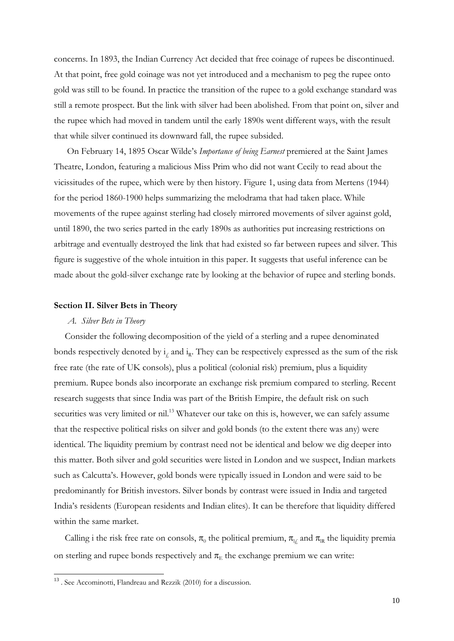concerns. In 1893, the Indian Currency Act decided that free coinage of rupees be discontinued. At that point, free gold coinage was not yet introduced and a mechanism to peg the rupee onto gold was still to be found. In practice the transition of the rupee to a gold exchange standard was still a remote prospect. But the link with silver had been abolished. From that point on, silver and the rupee which had moved in tandem until the early 1890s went different ways, with the result that while silver continued its downward fall, the rupee subsided.

 On February 14, 1895 Oscar Wilde's *Importance of being Earnest* premiered at the Saint James Theatre, London, featuring a malicious Miss Prim who did not want Cecily to read about the vicissitudes of the rupee, which were by then history. Figure 1, using data from Mertens (1944) for the period 1860-1900 helps summarizing the melodrama that had taken place. While movements of the rupee against sterling had closely mirrored movements of silver against gold, until 1890, the two series parted in the early 1890s as authorities put increasing restrictions on arbitrage and eventually destroyed the link that had existed so far between rupees and silver. This figure is suggestive of the whole intuition in this paper. It suggests that useful inference can be made about the gold-silver exchange rate by looking at the behavior of rupee and sterling bonds.

#### **Section II. Silver Bets in Theory**

## *A. Silver Bets in Theory*

Consider the following decomposition of the yield of a sterling and a rupee denominated bonds respectively denoted by  $i_f$  and  $i_R$ . They can be respectively expressed as the sum of the risk free rate (the rate of UK consols), plus a political (colonial risk) premium, plus a liquidity premium. Rupee bonds also incorporate an exchange risk premium compared to sterling. Recent research suggests that since India was part of the British Empire, the default risk on such securities was very limited or nil.<sup>13</sup> Whatever our take on this is, however, we can safely assume that the respective political risks on silver and gold bonds (to the extent there was any) were identical. The liquidity premium by contrast need not be identical and below we dig deeper into this matter. Both silver and gold securities were listed in London and we suspect, Indian markets such as Calcutta's. However, gold bonds were typically issued in London and were said to be predominantly for British investors. Silver bonds by contrast were issued in India and targeted India's residents (European residents and Indian elites). It can be therefore that liquidity differed within the same market.

Calling i the risk free rate on consols,  $\pi_0$  the political premium,  $\pi_1$  and  $\pi_{IR}$  the liquidity premia on sterling and rupee bonds respectively and  $\pi_E$  the exchange premium we can write:

<sup>&</sup>lt;sup>13</sup>. See Accominotti, Flandreau and Rezzik (2010) for a discussion.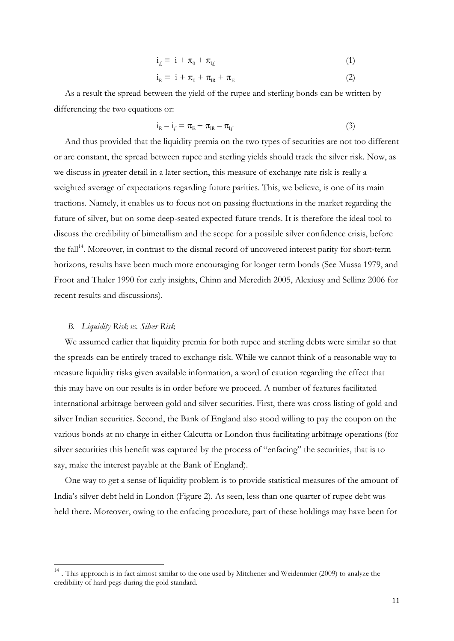$$
\mathbf{i}_{\mathcal{L}} = \mathbf{i} + \boldsymbol{\pi}_0 + \boldsymbol{\pi}_{\mathbf{l}\mathcal{L}} \tag{1}
$$

$$
\dot{i}_{\rm R} = \dot{i} + \pi_{0} + \pi_{\rm IR} + \pi_{\rm E} \tag{2}
$$

As a result the spread between the yield of the rupee and sterling bonds can be written by differencing the two equations or:

$$
\mathbf{i}_{\mathrm{R}} - \mathbf{i}_{\mathrm{L}} = \pi_{\mathrm{E}} + \pi_{\mathrm{IR}} - \pi_{\mathrm{L}} \tag{3}
$$

And thus provided that the liquidity premia on the two types of securities are not too different or are constant, the spread between rupee and sterling yields should track the silver risk. Now, as we discuss in greater detail in a later section, this measure of exchange rate risk is really a weighted average of expectations regarding future parities. This, we believe, is one of its main tractions. Namely, it enables us to focus not on passing fluctuations in the market regarding the future of silver, but on some deep-seated expected future trends. It is therefore the ideal tool to discuss the credibility of bimetallism and the scope for a possible silver confidence crisis, before the fall<sup>14</sup>. Moreover, in contrast to the dismal record of uncovered interest parity for short-term horizons, results have been much more encouraging for longer term bonds (See Mussa 1979, and Froot and Thaler 1990 for early insights, Chinn and Meredith 2005, Alexiusy and Sellinz 2006 for recent results and discussions).

#### *B. Liquidity Risk vs. Silver Risk*

-

We assumed earlier that liquidity premia for both rupee and sterling debts were similar so that the spreads can be entirely traced to exchange risk. While we cannot think of a reasonable way to measure liquidity risks given available information, a word of caution regarding the effect that this may have on our results is in order before we proceed. A number of features facilitated international arbitrage between gold and silver securities. First, there was cross listing of gold and silver Indian securities. Second, the Bank of England also stood willing to pay the coupon on the various bonds at no charge in either Calcutta or London thus facilitating arbitrage operations (for silver securities this benefit was captured by the process of "enfacing" the securities, that is to say, make the interest payable at the Bank of England).

One way to get a sense of liquidity problem is to provide statistical measures of the amount of India's silver debt held in London (Figure 2). As seen, less than one quarter of rupee debt was held there. Moreover, owing to the enfacing procedure, part of these holdings may have been for

<sup>&</sup>lt;sup>14</sup>. This approach is in fact almost similar to the one used by Mitchener and Weidenmier (2009) to analyze the credibility of hard pegs during the gold standard.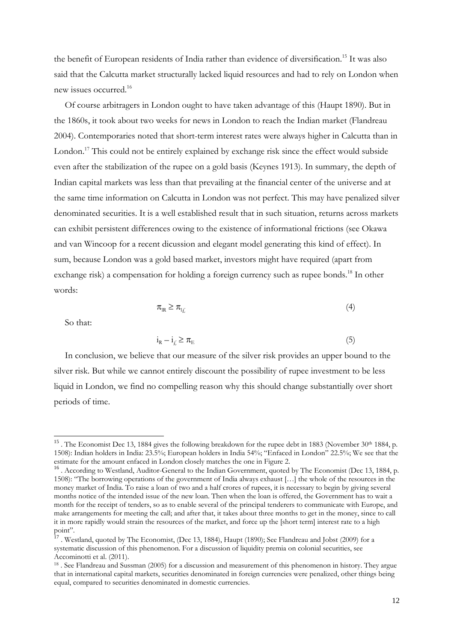the benefit of European residents of India rather than evidence of diversification.<sup>15</sup> It was also said that the Calcutta market structurally lacked liquid resources and had to rely on London when new issues occurred.16

Of course arbitragers in London ought to have taken advantage of this (Haupt 1890). But in the 1860s, it took about two weeks for news in London to reach the Indian market (Flandreau 2004). Contemporaries noted that short-term interest rates were always higher in Calcutta than in London.<sup>17</sup> This could not be entirely explained by exchange risk since the effect would subside even after the stabilization of the rupee on a gold basis (Keynes 1913). In summary, the depth of Indian capital markets was less than that prevailing at the financial center of the universe and at the same time information on Calcutta in London was not perfect. This may have penalized silver denominated securities. It is a well established result that in such situation, returns across markets can exhibit persistent differences owing to the existence of informational frictions (see Okawa and van Wincoop for a recent dicussion and elegant model generating this kind of effect). In sum, because London was a gold based market, investors might have required (apart from exchange risk) a compensation for holding a foreign currency such as rupee bonds.<sup>18</sup> In other words:

$$
\pi_{\rm IR} \ge \pi_{\rm I_{\rm L}} \tag{4}
$$

So that:

-

$$
i_{R} - i_{\mathcal{L}} \geq \pi_{E} \tag{5}
$$

In conclusion, we believe that our measure of the silver risk provides an upper bound to the silver risk. But while we cannot entirely discount the possibility of rupee investment to be less liquid in London, we find no compelling reason why this should change substantially over short periods of time.

<sup>&</sup>lt;sup>15</sup>. The Economist Dec 13, 1884 gives the following breakdown for the rupee debt in 1883 (November 30<sup>th</sup> 1884, p. 1508): Indian holders in India: 23.5%; European holders in India 54%; "Enfaced in London" 22.5%; We see that the estimate for the amount enfaced in London closely matches the one in Figure 2.

<sup>&</sup>lt;sup>16</sup>. According to Westland, Auditor-General to the Indian Government, quoted by The Economist (Dec 13, 1884, p. 1508): "The borrowing operations of the government of India always exhaust […] the whole of the resources in the money market of India. To raise a loan of two and a half crores of rupees, it is necessary to begin by giving several months notice of the intended issue of the new loan. Then when the loan is offered, the Government has to wait a month for the receipt of tenders, so as to enable several of the principal tenderers to communicate with Europe, and make arrangements for meeting the call; and after that, it takes about three months to get in the money, since to call it in more rapidly would strain the resources of the market, and force up the [short term] interest rate to a high  $\frac{1}{17}$  point".

<sup>&</sup>lt;sup>7</sup>. Westland, quoted by The Economist, (Dec 13, 1884), Haupt (1890); See Flandreau and Jobst (2009) for a systematic discussion of this phenomenon. For a discussion of liquidity premia on colonial securities, see Accominotti et al. (2011).

<sup>18 .</sup> See Flandreau and Sussman (2005) for a discussion and measurement of this phenomenon in history. They argue that in international capital markets, securities denominated in foreign currencies were penalized, other things being equal, compared to securities denominated in domestic currencies.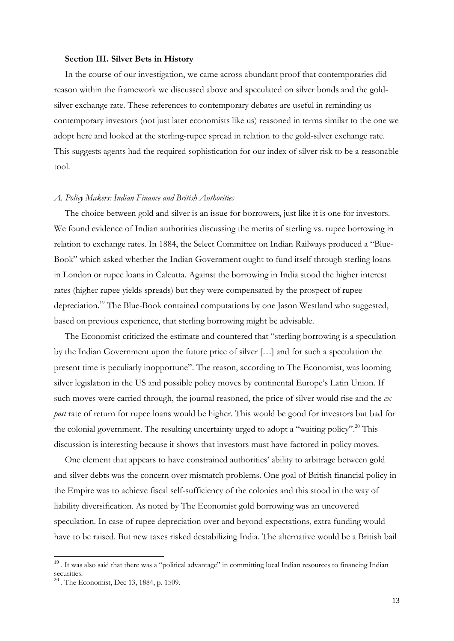#### **Section III. Silver Bets in History**

In the course of our investigation, we came across abundant proof that contemporaries did reason within the framework we discussed above and speculated on silver bonds and the goldsilver exchange rate. These references to contemporary debates are useful in reminding us contemporary investors (not just later economists like us) reasoned in terms similar to the one we adopt here and looked at the sterling-rupee spread in relation to the gold-silver exchange rate. This suggests agents had the required sophistication for our index of silver risk to be a reasonable tool.

### *A. Policy Makers: Indian Finance and British Authorities*

The choice between gold and silver is an issue for borrowers, just like it is one for investors. We found evidence of Indian authorities discussing the merits of sterling vs. rupee borrowing in relation to exchange rates. In 1884, the Select Committee on Indian Railways produced a "Blue-Book" which asked whether the Indian Government ought to fund itself through sterling loans in London or rupee loans in Calcutta. Against the borrowing in India stood the higher interest rates (higher rupee yields spreads) but they were compensated by the prospect of rupee depreciation.<sup>19</sup> The Blue-Book contained computations by one Jason Westland who suggested, based on previous experience, that sterling borrowing might be advisable.

The Economist criticized the estimate and countered that "sterling borrowing is a speculation by the Indian Government upon the future price of silver […] and for such a speculation the present time is peculiarly inopportune". The reason, according to The Economist, was looming silver legislation in the US and possible policy moves by continental Europe's Latin Union. If such moves were carried through, the journal reasoned, the price of silver would rise and the *ex post* rate of return for rupee loans would be higher. This would be good for investors but bad for the colonial government. The resulting uncertainty urged to adopt a "waiting policy".<sup>20</sup> This discussion is interesting because it shows that investors must have factored in policy moves.

One element that appears to have constrained authorities' ability to arbitrage between gold and silver debts was the concern over mismatch problems. One goal of British financial policy in the Empire was to achieve fiscal self-sufficiency of the colonies and this stood in the way of liability diversification. As noted by The Economist gold borrowing was an uncovered speculation. In case of rupee depreciation over and beyond expectations, extra funding would have to be raised. But new taxes risked destabilizing India. The alternative would be a British bail

<sup>&</sup>lt;sup>19</sup>. It was also said that there was a "political advantage" in committing local Indian resources to financing Indian securities.

<sup>&</sup>lt;sup>20</sup>. The Economist, Dec 13, 1884, p. 1509.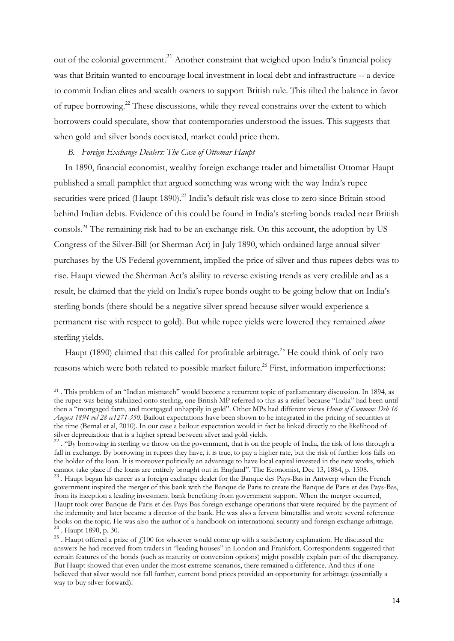out of the colonial government.<sup>21</sup> Another constraint that weighed upon India's financial policy was that Britain wanted to encourage local investment in local debt and infrastructure -- a device to commit Indian elites and wealth owners to support British rule. This tilted the balance in favor of rupee borrowing.<sup>22</sup> These discussions, while they reveal constrains over the extent to which borrowers could speculate, show that contemporaries understood the issues. This suggests that when gold and silver bonds coexisted, market could price them.

### *B. Foreign Exchange Dealers: The Case of Ottomar Haupt*

-

In 1890, financial economist, wealthy foreign exchange trader and bimetallist Ottomar Haupt published a small pamphlet that argued something was wrong with the way India's rupee securities were priced (Haupt 1890).<sup>23</sup> India's default risk was close to zero since Britain stood behind Indian debts. Evidence of this could be found in India's sterling bonds traded near British consols.24 The remaining risk had to be an exchange risk. On this account, the adoption by US Congress of the Silver-Bill (or Sherman Act) in July 1890, which ordained large annual silver purchases by the US Federal government, implied the price of silver and thus rupees debts was to rise. Haupt viewed the Sherman Act's ability to reverse existing trends as very credible and as a result, he claimed that the yield on India's rupee bonds ought to be going below that on India's sterling bonds (there should be a negative silver spread because silver would experience a permanent rise with respect to gold). But while rupee yields were lowered they remained *above* sterling yields.

Haupt (1890) claimed that this called for profitable arbitrage.<sup>25</sup> He could think of only two reasons which were both related to possible market failure.<sup>26</sup> First, information imperfections:

<sup>&</sup>lt;sup>21</sup> . This problem of an "Indian mismatch" would become a recurrent topic of parliamentary discussion. In 1894, as the rupee was being stabilized onto sterling, one British MP referred to this as a relief because "India" had been until then a "mortgaged farm, and mortgaged unhappily in gold". Other MPs had different views *House of Commons Deb 16 August 1894 vol 28 cc1271-350.* Bailout expectations have been shown to be integrated in the pricing of securities at the time (Bernal et al, 2010). In our case a bailout expectation would in fact be linked directly to the likelihood of silver depreciation: that is a higher spread between silver and gold yields.

<sup>&</sup>lt;sup>22</sup>. "By borrowing in sterling we throw on the government, that is on the people of India, the risk of loss through a fall in exchange. By borrowing in rupees they have, it is true, to pay a higher rate, but the risk of further loss falls on the holder of the loan. It is moreover politically an advantage to have local capital invested in the new works, which cannot take place if the loans are entirely brought out in England". The Economist, Dec 13, 1884, p. 1508. <sup>23</sup> . Haupt began his career as a foreign exchange dealer for the Banque des Pays-Bas in Antwerp when the French

government inspired the merger of this bank with the Banque de Paris to create the Banque de Paris et des Pays-Bas, from its inception a leading investment bank benefiting from government support. When the merger occurred, Haupt took over Banque de Paris et des Pays-Bas foreign exchange operations that were required by the payment of the indemnity and later became a director of the bank. He was also a fervent bimetallist and wrote several reference books on the topic. He was also the author of a handbook on international security and foreign exchange arbitrage. <sup>24</sup> . Haupt 1890, p. 30.

<sup>&</sup>lt;sup>25</sup> . Haupt offered a prize of £100 for whoever would come up with a satisfactory explanation. He discussed the answers he had received from traders in "leading houses" in London and Frankfort. Correspondents suggested that certain features of the bonds (such as maturity or conversion options) might possibly explain part of the discrepancy. But Haupt showed that even under the most extreme scenarios, there remained a difference. And thus if one believed that silver would not fall further, current bond prices provided an opportunity for arbitrage (essentially a way to buy silver forward).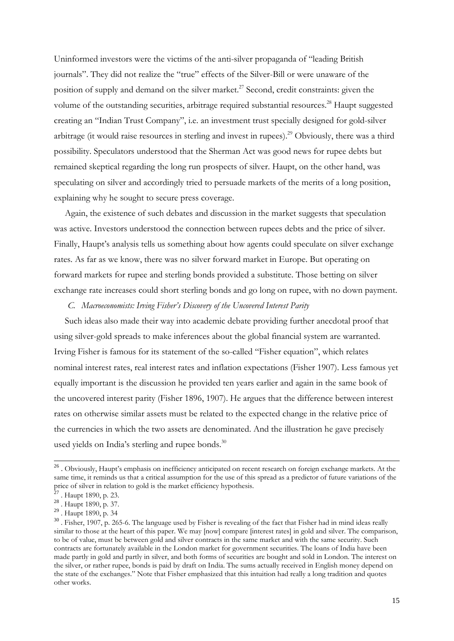Uninformed investors were the victims of the anti-silver propaganda of "leading British journals". They did not realize the "true" effects of the Silver-Bill or were unaware of the position of supply and demand on the silver market.<sup>27</sup> Second, credit constraints: given the volume of the outstanding securities, arbitrage required substantial resources.<sup>28</sup> Haupt suggested creating an "Indian Trust Company", i.e. an investment trust specially designed for gold-silver arbitrage (it would raise resources in sterling and invest in rupees).29 Obviously, there was a third possibility. Speculators understood that the Sherman Act was good news for rupee debts but remained skeptical regarding the long run prospects of silver. Haupt, on the other hand, was speculating on silver and accordingly tried to persuade markets of the merits of a long position, explaining why he sought to secure press coverage.

Again, the existence of such debates and discussion in the market suggests that speculation was active. Investors understood the connection between rupees debts and the price of silver. Finally, Haupt's analysis tells us something about how agents could speculate on silver exchange rates. As far as we know, there was no silver forward market in Europe. But operating on forward markets for rupee and sterling bonds provided a substitute. Those betting on silver exchange rate increases could short sterling bonds and go long on rupee, with no down payment.

### *C. Macroeconomists: Irving Fisher's Discovery of the Uncovered Interest Parity*

Such ideas also made their way into academic debate providing further anecdotal proof that using silver-gold spreads to make inferences about the global financial system are warranted. Irving Fisher is famous for its statement of the so-called "Fisher equation", which relates nominal interest rates, real interest rates and inflation expectations (Fisher 1907). Less famous yet equally important is the discussion he provided ten years earlier and again in the same book of the uncovered interest parity (Fisher 1896, 1907). He argues that the difference between interest rates on otherwise similar assets must be related to the expected change in the relative price of the currencies in which the two assets are denominated. And the illustration he gave precisely used yields on India's sterling and rupee bonds.<sup>30</sup>

<sup>&</sup>lt;sup>26</sup> . Obviously, Haupt's emphasis on inefficiency anticipated on recent research on foreign exchange markets. At the same time, it reminds us that a critical assumption for the use of this spread as a predictor of future variations of the price of silver in relation to gold is the market efficiency hypothesis. <sup>27</sup> . Haupt 1890, p. 23.

<sup>28</sup> . Haupt 1890, p. 37.

<sup>29</sup> . Haupt 1890, p. 34

<sup>&</sup>lt;sup>30</sup>. Fisher, 1907, p. 265-6. The language used by Fisher is revealing of the fact that Fisher had in mind ideas really similar to those at the heart of this paper. We may [now] compare [interest rates] in gold and silver. The comparison, to be of value, must be between gold and silver contracts in the same market and with the same security. Such contracts are fortunately available in the London market for government securities. The loans of India have been made partly in gold and partly in silver, and both forms of securities are bought and sold in London. The interest on the silver, or rather rupee, bonds is paid by draft on India. The sums actually received in English money depend on the state of the exchanges." Note that Fisher emphasized that this intuition had really a long tradition and quotes other works.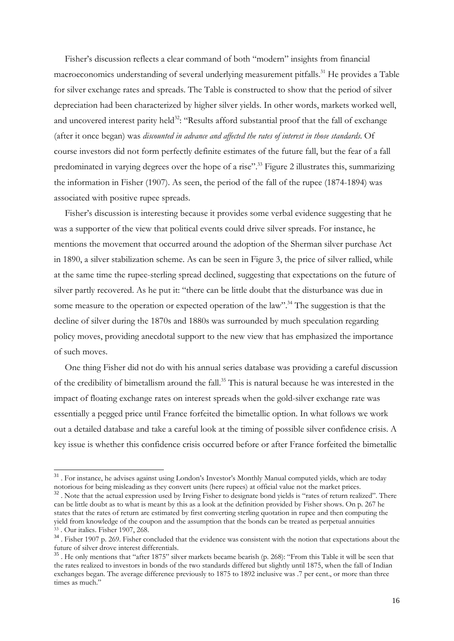Fisher's discussion reflects a clear command of both "modern" insights from financial macroeconomics understanding of several underlying measurement pitfalls.<sup>31</sup> He provides a Table for silver exchange rates and spreads. The Table is constructed to show that the period of silver depreciation had been characterized by higher silver yields. In other words, markets worked well, and uncovered interest parity held<sup>32</sup>: "Results afford substantial proof that the fall of exchange (after it once began) was *discounted in advance and affected the rates of interest in those standards*. Of course investors did not form perfectly definite estimates of the future fall, but the fear of a fall predominated in varying degrees over the hope of a rise".33 Figure 2 illustrates this, summarizing the information in Fisher (1907). As seen, the period of the fall of the rupee (1874-1894) was associated with positive rupee spreads.

Fisher's discussion is interesting because it provides some verbal evidence suggesting that he was a supporter of the view that political events could drive silver spreads. For instance, he mentions the movement that occurred around the adoption of the Sherman silver purchase Act in 1890, a silver stabilization scheme. As can be seen in Figure 3, the price of silver rallied, while at the same time the rupee-sterling spread declined, suggesting that expectations on the future of silver partly recovered. As he put it: "there can be little doubt that the disturbance was due in some measure to the operation or expected operation of the law".<sup>34</sup> The suggestion is that the decline of silver during the 1870s and 1880s was surrounded by much speculation regarding policy moves, providing anecdotal support to the new view that has emphasized the importance of such moves.

One thing Fisher did not do with his annual series database was providing a careful discussion of the credibility of bimetallism around the fall.<sup>35</sup> This is natural because he was interested in the impact of floating exchange rates on interest spreads when the gold-silver exchange rate was essentially a pegged price until France forfeited the bimetallic option. In what follows we work out a detailed database and take a careful look at the timing of possible silver confidence crisis. A key issue is whether this confidence crisis occurred before or after France forfeited the bimetallic

<sup>&</sup>lt;sup>31</sup>. For instance, he advises against using London's Investor's Monthly Manual computed yields, which are today notorious for being misleading as they convert units (here rupees) at official value not the market prices.<br><sup>32</sup>. Note that the actual expression used by Irving Fisher to designate bond yields is "rates of return realized"

can be little doubt as to what is meant by this as a look at the definition provided by Fisher shows. On p. 267 he states that the rates of return are estimated by first converting sterling quotation in rupee and then computing the yield from knowledge of the coupon and the assumption that the bonds can be treated as perpetual annuities 33 . Our italics. Fisher 1907, 268.

 $34$ . Fisher 1907 p. 269. Fisher concluded that the evidence was consistent with the notion that expectations about the future of silver drove interest differentials.

 $135$ . He only mentions that "after 1875" silver markets became bearish (p. 268): "From this Table it will be seen that the rates realized to investors in bonds of the two standards differed but slightly until 1875, when the fall of Indian exchanges began. The average difference previously to 1875 to 1892 inclusive was .7 per cent., or more than three times as much."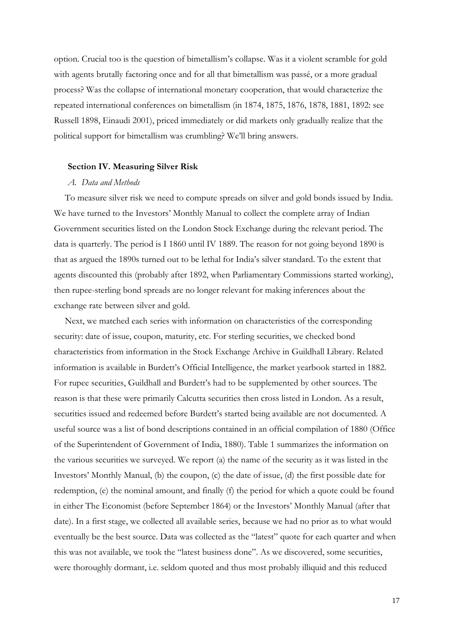option. Crucial too is the question of bimetallism's collapse. Was it a violent scramble for gold with agents brutally factoring once and for all that bimetallism was passé, or a more gradual process? Was the collapse of international monetary cooperation, that would characterize the repeated international conferences on bimetallism (in 1874, 1875, 1876, 1878, 1881, 1892: see Russell 1898, Einaudi 2001), priced immediately or did markets only gradually realize that the political support for bimetallism was crumbling? We'll bring answers.

#### **Section IV. Measuring Silver Risk**

#### *A. Data and Methods*

To measure silver risk we need to compute spreads on silver and gold bonds issued by India. We have turned to the Investors' Monthly Manual to collect the complete array of Indian Government securities listed on the London Stock Exchange during the relevant period. The data is quarterly. The period is I 1860 until IV 1889. The reason for not going beyond 1890 is that as argued the 1890s turned out to be lethal for India's silver standard. To the extent that agents discounted this (probably after 1892, when Parliamentary Commissions started working), then rupee-sterling bond spreads are no longer relevant for making inferences about the exchange rate between silver and gold.

Next, we matched each series with information on characteristics of the corresponding security: date of issue, coupon, maturity, etc. For sterling securities, we checked bond characteristics from information in the Stock Exchange Archive in Guildhall Library. Related information is available in Burdett's Official Intelligence, the market yearbook started in 1882. For rupee securities, Guildhall and Burdett's had to be supplemented by other sources. The reason is that these were primarily Calcutta securities then cross listed in London. As a result, securities issued and redeemed before Burdett's started being available are not documented. A useful source was a list of bond descriptions contained in an official compilation of 1880 (Office of the Superintendent of Government of India, 1880). Table 1 summarizes the information on the various securities we surveyed. We report (a) the name of the security as it was listed in the Investors' Monthly Manual, (b) the coupon, (c) the date of issue, (d) the first possible date for redemption, (e) the nominal amount, and finally (f) the period for which a quote could be found in either The Economist (before September 1864) or the Investors' Monthly Manual (after that date). In a first stage, we collected all available series, because we had no prior as to what would eventually be the best source. Data was collected as the "latest" quote for each quarter and when this was not available, we took the "latest business done". As we discovered, some securities, were thoroughly dormant, i.e. seldom quoted and thus most probably illiquid and this reduced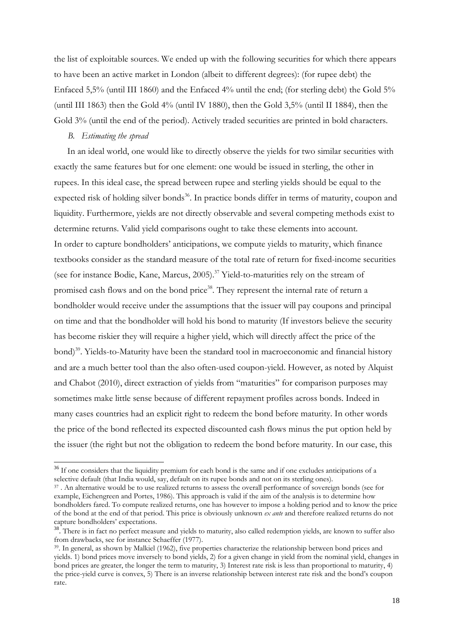the list of exploitable sources. We ended up with the following securities for which there appears to have been an active market in London (albeit to different degrees): (for rupee debt) the Enfaced 5,5% (until III 1860) and the Enfaced 4% until the end; (for sterling debt) the Gold 5% (until III 1863) then the Gold 4% (until IV 1880), then the Gold 3,5% (until II 1884), then the Gold  $3\%$  (until the end of the period). Actively traded securities are printed in bold characters.

#### *B. Estimating the spread*

-

In an ideal world, one would like to directly observe the yields for two similar securities with exactly the same features but for one element: one would be issued in sterling, the other in rupees. In this ideal case, the spread between rupee and sterling yields should be equal to the expected risk of holding silver bonds<sup>36</sup>. In practice bonds differ in terms of maturity, coupon and liquidity. Furthermore, yields are not directly observable and several competing methods exist to determine returns. Valid yield comparisons ought to take these elements into account. In order to capture bondholders' anticipations, we compute yields to maturity, which finance textbooks consider as the standard measure of the total rate of return for fixed-income securities (see for instance Bodie, Kane, Marcus, 2005).<sup>37</sup> Yield-to-maturities rely on the stream of promised cash flows and on the bond price<sup>38</sup>. They represent the internal rate of return a bondholder would receive under the assumptions that the issuer will pay coupons and principal on time and that the bondholder will hold his bond to maturity (If investors believe the security has become riskier they will require a higher yield, which will directly affect the price of the bond)<sup>39</sup>. Yields-to-Maturity have been the standard tool in macroeconomic and financial history and are a much better tool than the also often-used coupon-yield. However, as noted by Alquist and Chabot (2010), direct extraction of yields from "maturities" for comparison purposes may sometimes make little sense because of different repayment profiles across bonds. Indeed in many cases countries had an explicit right to redeem the bond before maturity. In other words the price of the bond reflected its expected discounted cash flows minus the put option held by the issuer (the right but not the obligation to redeem the bond before maturity. In our case, this

<sup>&</sup>lt;sup>36</sup> If one considers that the liquidity premium for each bond is the same and if one excludes anticipations of a selective default (that India would, say, default on its rupee bonds and not on its sterling ones).

<sup>37 .</sup> An alternative would be to use realized returns to assess the overall performance of sovereign bonds (see for example, Eichengreen and Portes, 1986). This approach is valid if the aim of the analysis is to determine how bondholders fared. To compute realized returns, one has however to impose a holding period and to know the price of the bond at the end of that period. This price is obviously unknown *ex ante* and therefore realized returns do not capture bondholders' expectations.

<sup>&</sup>lt;sup>38</sup>. There is in fact no perfect measure and yields to maturity, also called redemption yields, are known to suffer also from drawbacks, see for instance Schaeffer (1977).

<sup>39.</sup> In general, as shown by Malkiel (1962), five properties characterize the relationship between bond prices and yields. 1) bond prices move inversely to bond yields, 2) for a given change in yield from the nominal yield, changes in bond prices are greater, the longer the term to maturity, 3) Interest rate risk is less than proportional to maturity, 4) the price-yield curve is convex, 5) There is an inverse relationship between interest rate risk and the bond's coupon rate.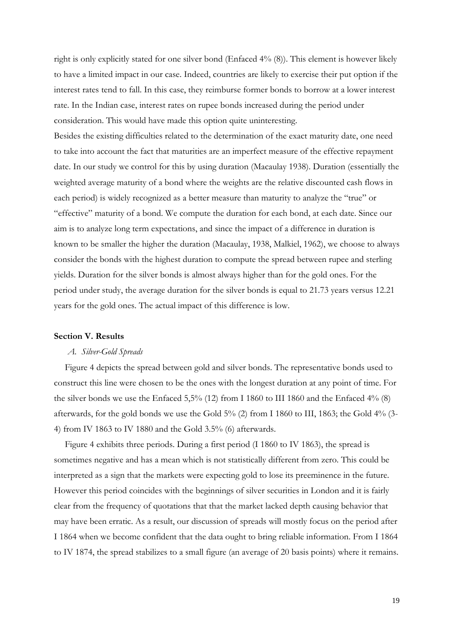right is only explicitly stated for one silver bond (Enfaced 4% (8)). This element is however likely to have a limited impact in our case. Indeed, countries are likely to exercise their put option if the interest rates tend to fall. In this case, they reimburse former bonds to borrow at a lower interest rate. In the Indian case, interest rates on rupee bonds increased during the period under consideration. This would have made this option quite uninteresting.

Besides the existing difficulties related to the determination of the exact maturity date, one need to take into account the fact that maturities are an imperfect measure of the effective repayment date. In our study we control for this by using duration (Macaulay 1938). Duration (essentially the weighted average maturity of a bond where the weights are the relative discounted cash flows in each period) is widely recognized as a better measure than maturity to analyze the "true" or "effective" maturity of a bond. We compute the duration for each bond, at each date. Since our aim is to analyze long term expectations, and since the impact of a difference in duration is known to be smaller the higher the duration (Macaulay, 1938, Malkiel, 1962), we choose to always consider the bonds with the highest duration to compute the spread between rupee and sterling yields. Duration for the silver bonds is almost always higher than for the gold ones. For the period under study, the average duration for the silver bonds is equal to 21.73 years versus 12.21 years for the gold ones. The actual impact of this difference is low.

#### **Section V. Results**

## *A. Silver-Gold Spreads*

Figure 4 depicts the spread between gold and silver bonds. The representative bonds used to construct this line were chosen to be the ones with the longest duration at any point of time. For the silver bonds we use the Enfaced 5,5% (12) from I 1860 to III 1860 and the Enfaced 4% (8) afterwards, for the gold bonds we use the Gold 5% (2) from I 1860 to III, 1863; the Gold 4% (3- 4) from IV 1863 to IV 1880 and the Gold 3.5% (6) afterwards.

Figure 4 exhibits three periods. During a first period (I 1860 to IV 1863), the spread is sometimes negative and has a mean which is not statistically different from zero. This could be interpreted as a sign that the markets were expecting gold to lose its preeminence in the future. However this period coincides with the beginnings of silver securities in London and it is fairly clear from the frequency of quotations that that the market lacked depth causing behavior that may have been erratic. As a result, our discussion of spreads will mostly focus on the period after I 1864 when we become confident that the data ought to bring reliable information. From I 1864 to IV 1874, the spread stabilizes to a small figure (an average of 20 basis points) where it remains.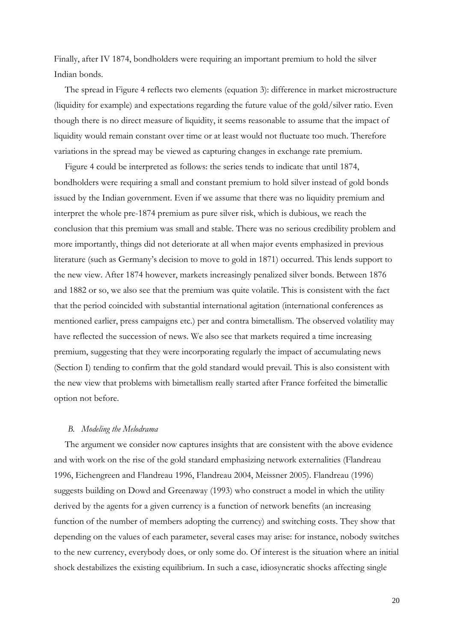Finally, after IV 1874, bondholders were requiring an important premium to hold the silver Indian bonds.

The spread in Figure 4 reflects two elements (equation 3): difference in market microstructure (liquidity for example) and expectations regarding the future value of the gold/silver ratio. Even though there is no direct measure of liquidity, it seems reasonable to assume that the impact of liquidity would remain constant over time or at least would not fluctuate too much. Therefore variations in the spread may be viewed as capturing changes in exchange rate premium.

Figure 4 could be interpreted as follows: the series tends to indicate that until 1874, bondholders were requiring a small and constant premium to hold silver instead of gold bonds issued by the Indian government. Even if we assume that there was no liquidity premium and interpret the whole pre-1874 premium as pure silver risk, which is dubious, we reach the conclusion that this premium was small and stable. There was no serious credibility problem and more importantly, things did not deteriorate at all when major events emphasized in previous literature (such as Germany's decision to move to gold in 1871) occurred. This lends support to the new view. After 1874 however, markets increasingly penalized silver bonds. Between 1876 and 1882 or so, we also see that the premium was quite volatile. This is consistent with the fact that the period coincided with substantial international agitation (international conferences as mentioned earlier, press campaigns etc.) per and contra bimetallism. The observed volatility may have reflected the succession of news. We also see that markets required a time increasing premium, suggesting that they were incorporating regularly the impact of accumulating news (Section I) tending to confirm that the gold standard would prevail. This is also consistent with the new view that problems with bimetallism really started after France forfeited the bimetallic option not before.

#### *B. Modeling the Melodrama*

The argument we consider now captures insights that are consistent with the above evidence and with work on the rise of the gold standard emphasizing network externalities (Flandreau 1996, Eichengreen and Flandreau 1996, Flandreau 2004, Meissner 2005). Flandreau (1996) suggests building on Dowd and Greenaway (1993) who construct a model in which the utility derived by the agents for a given currency is a function of network benefits (an increasing function of the number of members adopting the currency) and switching costs. They show that depending on the values of each parameter, several cases may arise: for instance, nobody switches to the new currency, everybody does, or only some do. Of interest is the situation where an initial shock destabilizes the existing equilibrium. In such a case, idiosyncratic shocks affecting single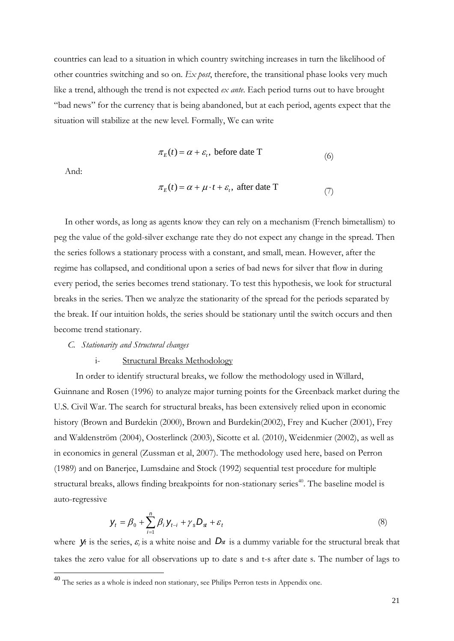countries can lead to a situation in which country switching increases in turn the likelihood of other countries switching and so on. *Ex post*, therefore, the transitional phase looks very much like a trend, although the trend is not expected *ex ante*. Each period turns out to have brought "bad news" for the currency that is being abandoned, but at each period, agents expect that the situation will stabilize at the new level. Formally, We can write

$$
\pi_E(t) = \alpha + \varepsilon_t, \text{ before date T}
$$
\n(6)

And:

-

$$
\pi_E(t) = \alpha + \mu \cdot t + \varepsilon_t, \text{ after date } T \tag{7}
$$

In other words, as long as agents know they can rely on a mechanism (French bimetallism) to peg the value of the gold-silver exchange rate they do not expect any change in the spread. Then the series follows a stationary process with a constant, and small, mean. However, after the regime has collapsed, and conditional upon a series of bad news for silver that flow in during every period, the series becomes trend stationary. To test this hypothesis, we look for structural breaks in the series. Then we analyze the stationarity of the spread for the periods separated by the break. If our intuition holds, the series should be stationary until the switch occurs and then become trend stationary.

# *C. Stationarity and Structural changes*

## i- Structural Breaks Methodology

In order to identify structural breaks, we follow the methodology used in Willard, Guinnane and Rosen (1996) to analyze major turning points for the Greenback market during the U.S. Civil War. The search for structural breaks, has been extensively relied upon in economic history (Brown and Burdekin (2000), Brown and Burdekin(2002), Frey and Kucher (2001), Frey and Waldenström (2004), Oosterlinck (2003), Sicotte et al. (2010), Weidenmier (2002), as well as in economics in general (Zussman et al, 2007). The methodology used here, based on Perron (1989) and on Banerjee, Lumsdaine and Stock (1992) sequential test procedure for multiple structural breaks, allows finding breakpoints for non-stationary series<sup>40</sup>. The baseline model is auto-regressive

$$
\mathbf{y}_{t} = \beta_{0} + \sum_{i=1}^{n} \beta_{i} \mathbf{y}_{t-i} + \gamma_{s} \mathbf{D}_{st} + \varepsilon_{t}
$$
\n
$$
\tag{8}
$$

where  $\forall t$  is the series,  $\varepsilon$ <sub>i</sub> is a white noise and  $D_{st}$  is a dummy variable for the structural break that takes the zero value for all observations up to date s and t-s after date s. The number of lags to

<sup>&</sup>lt;sup>40</sup> The series as a whole is indeed non stationary, see Philips Perron tests in Appendix one.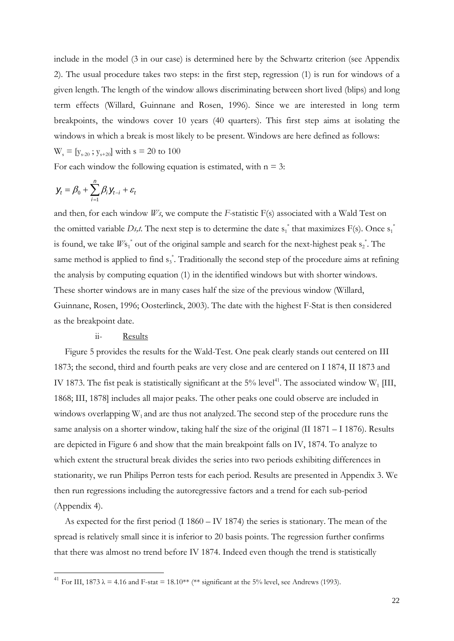include in the model (3 in our case) is determined here by the Schwartz criterion (see Appendix 2). The usual procedure takes two steps: in the first step, regression (1) is run for windows of a given length. The length of the window allows discriminating between short lived (blips) and long term effects (Willard, Guinnane and Rosen, 1996). Since we are interested in long term breakpoints, the windows cover 10 years (40 quarters). This first step aims at isolating the windows in which a break is most likely to be present. Windows are here defined as follows:  $W_s = [y_{s-20}$ ;  $y_{s+20}$ ] with  $s = 20$  to 100

For each window the following equation is estimated, with  $n = 3$ :

$$
\mathbf{y}_t = \beta_0 + \sum_{i=1}^n \beta_i \mathbf{y}_{t-i} + \varepsilon_t
$$

and then, for each window *Ws*, we compute the *F-*statistic F(s) associated with a Wald Test on the omitted variable *Ds,t*. The next step is to determine the date  $s_1^*$  that maximizes  $F(s)$ . Once  $s_1^*$ is found, we take  $Ws_1^*$  out of the original sample and search for the next-highest peak  $s_2^*$ . The same method is applied to find  $s_3$ <sup>\*</sup>. Traditionally the second step of the procedure aims at refining the analysis by computing equation (1) in the identified windows but with shorter windows. These shorter windows are in many cases half the size of the previous window (Willard, Guinnane, Rosen, 1996; Oosterlinck, 2003). The date with the highest F-Stat is then considered as the breakpoint date.

#### ii- Results

-

Figure 5 provides the results for the Wald-Test. One peak clearly stands out centered on III 1873; the second, third and fourth peaks are very close and are centered on I 1874, II 1873 and IV 1873. The fist peak is statistically significant at the  $5\%$  level<sup>41</sup>. The associated window W<sub>1</sub> [III, 1868; III, 1878] includes all major peaks. The other peaks one could observe are included in windows overlapping  $W_1$  and are thus not analyzed. The second step of the procedure runs the same analysis on a shorter window, taking half the size of the original (II 1871 – I 1876). Results are depicted in Figure 6 and show that the main breakpoint falls on IV, 1874. To analyze to which extent the structural break divides the series into two periods exhibiting differences in stationarity, we run Philips Perron tests for each period. Results are presented in Appendix 3. We then run regressions including the autoregressive factors and a trend for each sub-period (Appendix 4).

As expected for the first period (I 1860 – IV 1874) the series is stationary. The mean of the spread is relatively small since it is inferior to 20 basis points. The regression further confirms that there was almost no trend before IV 1874. Indeed even though the trend is statistically

<sup>&</sup>lt;sup>41</sup> For III, 1873  $\lambda$  = 4.16 and F-stat = 18.10<sup>\*\*</sup> (\*\* significant at the 5% level, see Andrews (1993).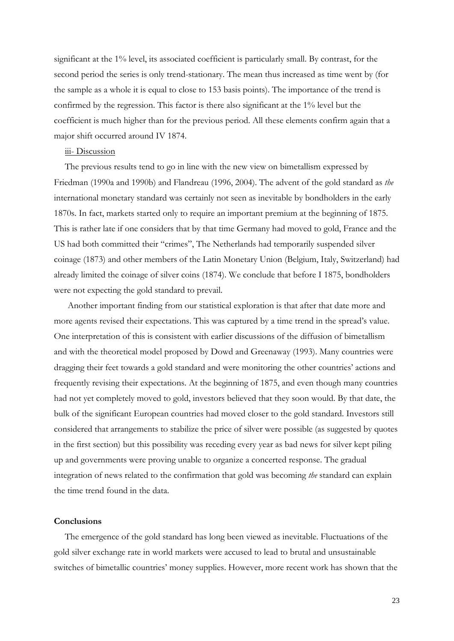significant at the 1% level, its associated coefficient is particularly small. By contrast, for the second period the series is only trend-stationary. The mean thus increased as time went by (for the sample as a whole it is equal to close to 153 basis points). The importance of the trend is confirmed by the regression. This factor is there also significant at the 1% level but the coefficient is much higher than for the previous period. All these elements confirm again that a major shift occurred around IV 1874.

#### iii- Discussion

The previous results tend to go in line with the new view on bimetallism expressed by Friedman (1990a and 1990b) and Flandreau (1996, 2004). The advent of the gold standard as *the* international monetary standard was certainly not seen as inevitable by bondholders in the early 1870s. In fact, markets started only to require an important premium at the beginning of 1875. This is rather late if one considers that by that time Germany had moved to gold, France and the US had both committed their "crimes", The Netherlands had temporarily suspended silver coinage (1873) and other members of the Latin Monetary Union (Belgium, Italy, Switzerland) had already limited the coinage of silver coins (1874). We conclude that before I 1875, bondholders were not expecting the gold standard to prevail.

Another important finding from our statistical exploration is that after that date more and more agents revised their expectations. This was captured by a time trend in the spread's value. One interpretation of this is consistent with earlier discussions of the diffusion of bimetallism and with the theoretical model proposed by Dowd and Greenaway (1993). Many countries were dragging their feet towards a gold standard and were monitoring the other countries' actions and frequently revising their expectations. At the beginning of 1875, and even though many countries had not yet completely moved to gold, investors believed that they soon would. By that date, the bulk of the significant European countries had moved closer to the gold standard. Investors still considered that arrangements to stabilize the price of silver were possible (as suggested by quotes in the first section) but this possibility was receding every year as bad news for silver kept piling up and governments were proving unable to organize a concerted response. The gradual integration of news related to the confirmation that gold was becoming *the* standard can explain the time trend found in the data.

# **Conclusions**

The emergence of the gold standard has long been viewed as inevitable. Fluctuations of the gold silver exchange rate in world markets were accused to lead to brutal and unsustainable switches of bimetallic countries' money supplies. However, more recent work has shown that the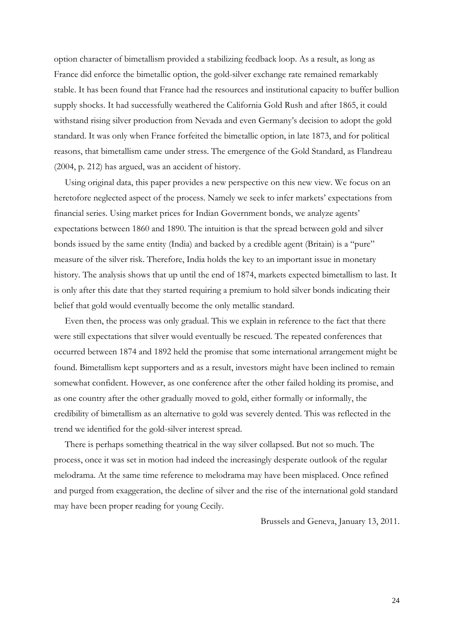option character of bimetallism provided a stabilizing feedback loop. As a result, as long as France did enforce the bimetallic option, the gold-silver exchange rate remained remarkably stable. It has been found that France had the resources and institutional capacity to buffer bullion supply shocks. It had successfully weathered the California Gold Rush and after 1865, it could withstand rising silver production from Nevada and even Germany's decision to adopt the gold standard. It was only when France forfeited the bimetallic option, in late 1873, and for political reasons, that bimetallism came under stress. The emergence of the Gold Standard, as Flandreau (2004, p. 212) has argued, was an accident of history.

Using original data, this paper provides a new perspective on this new view. We focus on an heretofore neglected aspect of the process. Namely we seek to infer markets' expectations from financial series. Using market prices for Indian Government bonds, we analyze agents' expectations between 1860 and 1890. The intuition is that the spread between gold and silver bonds issued by the same entity (India) and backed by a credible agent (Britain) is a "pure" measure of the silver risk. Therefore, India holds the key to an important issue in monetary history. The analysis shows that up until the end of 1874, markets expected bimetallism to last. It is only after this date that they started requiring a premium to hold silver bonds indicating their belief that gold would eventually become the only metallic standard.

Even then, the process was only gradual. This we explain in reference to the fact that there were still expectations that silver would eventually be rescued. The repeated conferences that occurred between 1874 and 1892 held the promise that some international arrangement might be found. Bimetallism kept supporters and as a result, investors might have been inclined to remain somewhat confident. However, as one conference after the other failed holding its promise, and as one country after the other gradually moved to gold, either formally or informally, the credibility of bimetallism as an alternative to gold was severely dented. This was reflected in the trend we identified for the gold-silver interest spread.

There is perhaps something theatrical in the way silver collapsed. But not so much. The process, once it was set in motion had indeed the increasingly desperate outlook of the regular melodrama. At the same time reference to melodrama may have been misplaced. Once refined and purged from exaggeration, the decline of silver and the rise of the international gold standard may have been proper reading for young Cecily.

Brussels and Geneva, January 13, 2011.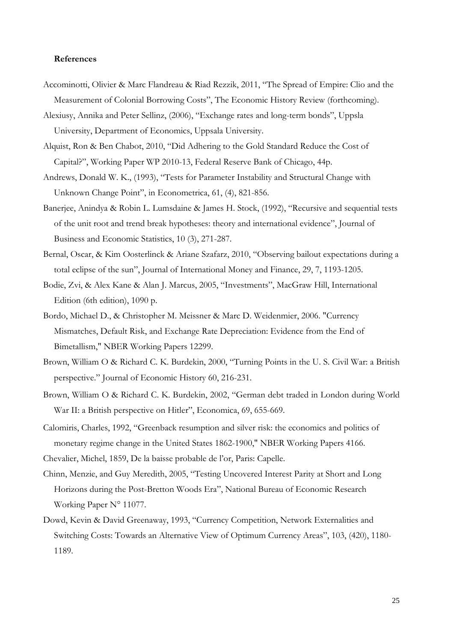#### **References**

- Accominotti, Olivier & Marc Flandreau & Riad Rezzik, 2011, "The Spread of Empire: Clio and the Measurement of Colonial Borrowing Costs", The Economic History Review (forthcoming).
- Alexiusy, Annika and Peter Sellinz, (2006), "Exchange rates and long-term bonds", Uppsla University, Department of Economics, Uppsala University.
- Alquist, Ron & Ben Chabot, 2010, "Did Adhering to the Gold Standard Reduce the Cost of Capital?", Working Paper WP 2010-13, Federal Reserve Bank of Chicago, 44p.
- Andrews, Donald W. K., (1993), "Tests for Parameter Instability and Structural Change with Unknown Change Point", in Econometrica, 61, (4), 821-856.
- Banerjee, Anindya & Robin L. Lumsdaine & James H. Stock, (1992), "Recursive and sequential tests of the unit root and trend break hypotheses: theory and international evidence", Journal of Business and Economic Statistics, 10 (3), 271-287.
- Bernal, Oscar, & Kim Oosterlinck & Ariane Szafarz, 2010, "Observing bailout expectations during a total eclipse of the sun", Journal of International Money and Finance, 29, 7, 1193-1205.
- Bodie, Zvi, & Alex Kane & Alan J. Marcus, 2005, "Investments", MacGraw Hill, International Edition (6th edition), 1090 p.
- Bordo, Michael D., & Christopher M. Meissner & Marc D. Weidenmier, 2006. "Currency Mismatches, Default Risk, and Exchange Rate Depreciation: Evidence from the End of Bimetallism," NBER Working Papers 12299.
- Brown, William O & Richard C. K. Burdekin, 2000, "Turning Points in the U. S. Civil War: a British perspective." Journal of Economic History 60, 216-231.
- Brown, William O & Richard C. K. Burdekin, 2002, "German debt traded in London during World War II: a British perspective on Hitler", Economica, 69, 655-669.
- Calomiris, Charles, 1992, "Greenback resumption and silver risk: the economics and politics of monetary regime change in the United States 1862-1900," NBER Working Papers 4166.

Chevalier, Michel, 1859, De la baisse probable de l'or, Paris: Capelle.

- Chinn, Menzie, and Guy Meredith, 2005, "Testing Uncovered Interest Parity at Short and Long Horizons during the Post-Bretton Woods Era", National Bureau of Economic Research Working Paper N° 11077.
- Dowd, Kevin & David Greenaway, 1993, "Currency Competition, Network Externalities and Switching Costs: Towards an Alternative View of Optimum Currency Areas", 103, (420), 1180- 1189.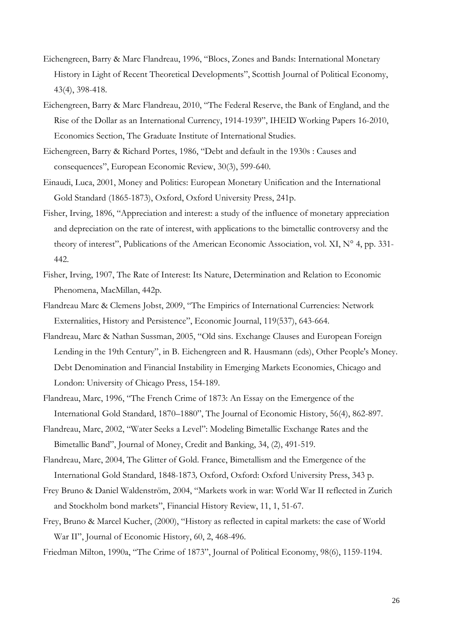- Eichengreen, Barry & Marc Flandreau, 1996, "Blocs, Zones and Bands: International Monetary History in Light of Recent Theoretical Developments", Scottish Journal of Political Economy, 43(4), 398-418.
- Eichengreen, Barry & Marc Flandreau, 2010, "The Federal Reserve, the Bank of England, and the Rise of the Dollar as an International Currency, 1914-1939", IHEID Working Papers 16-2010, Economics Section, The Graduate Institute of International Studies.
- Eichengreen, Barry & Richard Portes, 1986, "Debt and default in the 1930s : Causes and consequences", European Economic Review, 30(3), 599-640.
- Einaudi, Luca, 2001, Money and Politics: European Monetary Unification and the International Gold Standard (1865-1873), Oxford, Oxford University Press, 241p.
- Fisher, Irving, 1896, "Appreciation and interest: a study of the influence of monetary appreciation and depreciation on the rate of interest, with applications to the bimetallic controversy and the theory of interest", Publications of the American Economic Association, vol. XI, N° 4, pp. 331- 442.
- Fisher, Irving, 1907, The Rate of Interest: Its Nature, Determination and Relation to Economic Phenomena, MacMillan, 442p.
- Flandreau Marc & Clemens Jobst, 2009, "The Empirics of International Currencies: Network Externalities, History and Persistence", Economic Journal, 119(537), 643-664.
- Flandreau, Marc & Nathan Sussman, 2005, "Old sins. Exchange Clauses and European Foreign Lending in the 19th Century", in B. Eichengreen and R. Hausmann (eds), Other People's Money. Debt Denomination and Financial Instability in Emerging Markets Economies, Chicago and London: University of Chicago Press, 154-189.
- Flandreau, Marc, 1996, "The French Crime of 1873: An Essay on the Emergence of the International Gold Standard, 1870–1880", The Journal of Economic History, 56(4), 862-897.
- Flandreau, Marc, 2002, "Water Seeks a Level": Modeling Bimetallic Exchange Rates and the Bimetallic Band", Journal of Money, Credit and Banking, 34, (2), 491-519.
- Flandreau, Marc, 2004, The Glitter of Gold. France, Bimetallism and the Emergence of the International Gold Standard, 1848-1873*,* Oxford, Oxford: Oxford University Press, 343 p.
- Frey Bruno & Daniel Waldenström, 2004, "Markets work in war: World War II reflected in Zurich and Stockholm bond markets", Financial History Review, 11, 1, 51-67.
- Frey, Bruno & Marcel Kucher, (2000), "History as reflected in capital markets: the case of World War II", Journal of Economic History, 60, 2, 468-496.
- Friedman Milton, 1990a, "The Crime of 1873", Journal of Political Economy, 98(6), 1159-1194.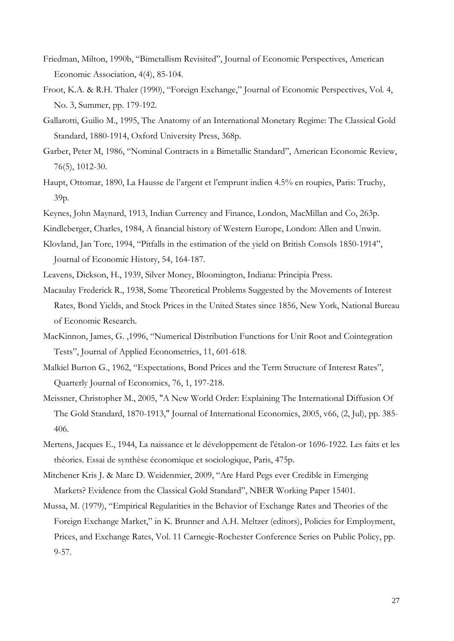- Friedman, Milton, 1990b, "Bimetallism Revisited", Journal of Economic Perspectives, American Economic Association, 4(4), 85-104.
- Froot, K.A. & R.H. Thaler (1990), "Foreign Exchange," Journal of Economic Perspectives, Vol. 4, No. 3, Summer, pp. 179-192.
- Gallarotti, Guilio M., 1995, The Anatomy of an International Monetary Regime: The Classical Gold Standard, 1880-1914, Oxford University Press, 368p.
- Garber, Peter M, 1986, "Nominal Contracts in a Bimetallic Standard", American Economic Review, 76(5), 1012-30.
- Haupt, Ottomar, 1890, La Hausse de l'argent et l'emprunt indien 4.5% en roupies, Paris: Truchy, 39p.
- Keynes, John Maynard, 1913, Indian Currency and Finance, London, MacMillan and Co, 263p.
- Kindleberger, Charles, 1984, A financial history of Western Europe, London: Allen and Unwin.
- Klovland, Jan Tore, 1994, "Pitfalls in the estimation of the yield on British Consols 1850-1914", Journal of Economic History, 54, 164-187.
- Leavens, Dickson, H., 1939, Silver Money, Bloomington, Indiana: Principia Press.
- Macaulay Frederick R., 1938, Some Theoretical Problems Suggested by the Movements of Interest Rates, Bond Yields, and Stock Prices in the United States since 1856, New York, National Bureau of Economic Research.
- MacKinnon, James, G. ,1996, "Numerical Distribution Functions for Unit Root and Cointegration Tests", Journal of Applied Econometrics, 11, 601-618.
- Malkiel Burton G., 1962, "Expectations, Bond Prices and the Term Structure of Interest Rates", Quarterly Journal of Economics, 76, 1, 197-218.
- Meissner, Christopher M., 2005, "A New World Order: Explaining The International Diffusion Of The Gold Standard, 1870-1913," Journal of International Economics, 2005, v66, (2, Jul), pp. 385- 406.
- Mertens, Jacques E., 1944, La naissance et le développement de l'étalon-or 1696-1922. Les faits et les théories. Essai de synthèse économique et sociologique, Paris, 475p.
- Mitchener Kris J. & Marc D. Weidenmier, 2009, "Are Hard Pegs ever Credible in Emerging Markets? Evidence from the Classical Gold Standard", NBER Working Paper 15401.
- Mussa, M. (1979), "Empirical Regularities in the Behavior of Exchange Rates and Theories of the Foreign Exchange Market," in K. Brunner and A.H. Meltzer (editors), Policies for Employment, Prices, and Exchange Rates, Vol. 11 Carnegie-Rochester Conference Series on Public Policy, pp. 9-57.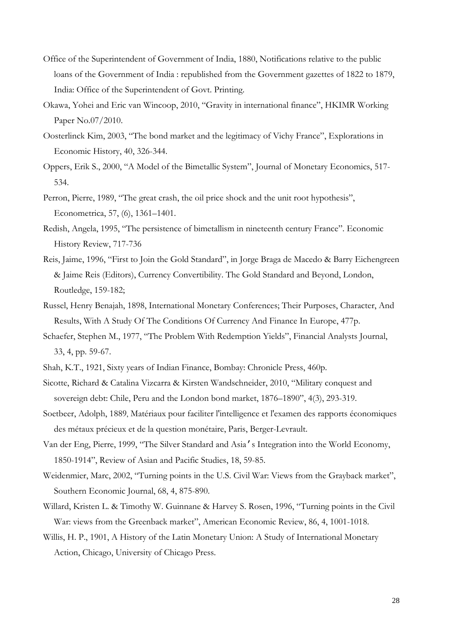- Office of the Superintendent of Government of India, 1880, Notifications relative to the public loans of the Government of India : republished from the Government gazettes of 1822 to 1879, India: Office of the Superintendent of Govt. Printing.
- Okawa, Yohei and Eric van Wincoop, 2010, "Gravity in international finance", HKIMR Working Paper No.07/2010.
- Oosterlinck Kim, 2003, "The bond market and the legitimacy of Vichy France", Explorations in Economic History, 40, 326-344.
- Oppers, Erik S., 2000, "A Model of the Bimetallic System", Journal of Monetary Economics, 517- 534.
- Perron, Pierre, 1989, "The great crash, the oil price shock and the unit root hypothesis", Econometrica, 57, (6), 1361–1401.
- Redish, Angela, 1995, "The persistence of bimetallism in nineteenth century France". Economic History Review, 717-736
- Reis, Jaime, 1996, "First to Join the Gold Standard", in Jorge Braga de Macedo & Barry Eichengreen & Jaime Reis (Editors), Currency Convertibility. The Gold Standard and Beyond, London, Routledge, 159-182;
- Russel, Henry Benajah, 1898, International Monetary Conferences; Their Purposes, Character, And Results, With A Study Of The Conditions Of Currency And Finance In Europe, 477p.
- Schaefer, Stephen M., 1977, "The Problem With Redemption Yields", Financial Analysts Journal, 33, 4, pp. 59-67.
- Shah, K.T., 1921, Sixty years of Indian Finance, Bombay: Chronicle Press, 460p.
- Sicotte, Richard & Catalina Vizcarra & Kirsten Wandschneider, 2010, "Military conquest and sovereign debt: Chile, Peru and the London bond market, 1876–1890", 4(3), 293-319.
- Soetbeer, Adolph, 1889, Matériaux pour faciliter l'intelligence et l'examen des rapports économiques des métaux précieux et de la question monétaire, Paris, Berger-Levrault.
- Van der Eng, Pierre, 1999, "The Silver Standard and Asia's Integration into the World Economy, 1850-1914", Review of Asian and Pacific Studies, 18, 59-85.
- Weidenmier, Marc, 2002, "Turning points in the U.S. Civil War: Views from the Grayback market", Southern Economic Journal, 68, 4, 875-890.

Willard, Kristen L. & Timothy W. Guinnane & Harvey S. Rosen, 1996, "Turning points in the Civil War: views from the Greenback market", American Economic Review, 86, 4, 1001-1018.

Willis, H. P., 1901, A History of the Latin Monetary Union: A Study of International Monetary Action, Chicago, University of Chicago Press.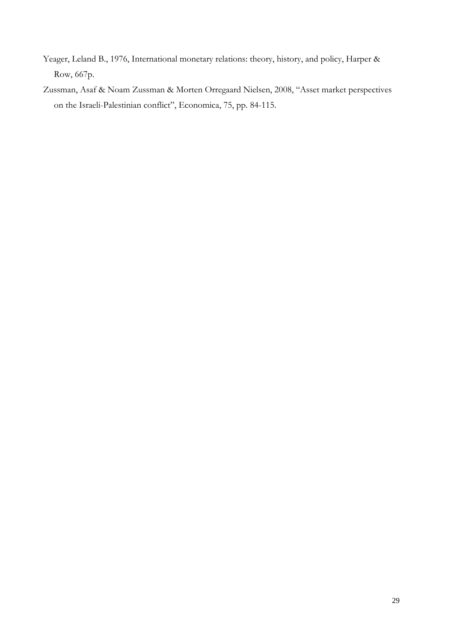- Yeager, Leland B., 1976, International monetary relations: theory, history, and policy, Harper & Row, 667p.
- Zussman, Asaf & Noam Zussman & Morten Orregaard Nielsen, 2008, "Asset market perspectives on the Israeli-Palestinian conflict", Economica, 75, pp. 84-115.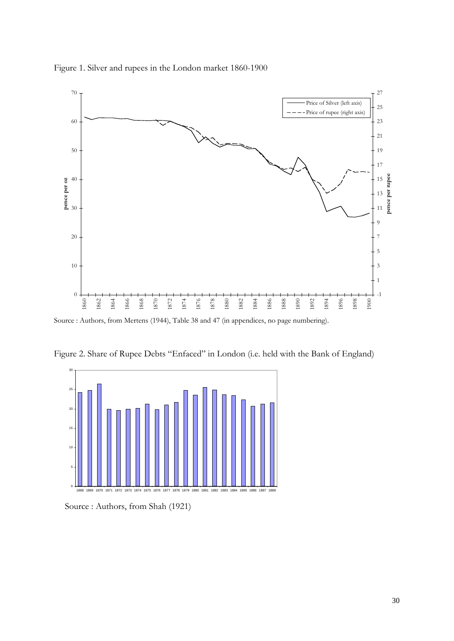

Figure 1. Silver and rupees in the London market 1860-1900

Source : Authors, from Mertens (1944), Table 38 and 47 (in appendices, no page numbering).



Figure 2. Share of Rupee Debts "Enfaced" in London (i.e. held with the Bank of England)

Source : Authors, from Shah (1921)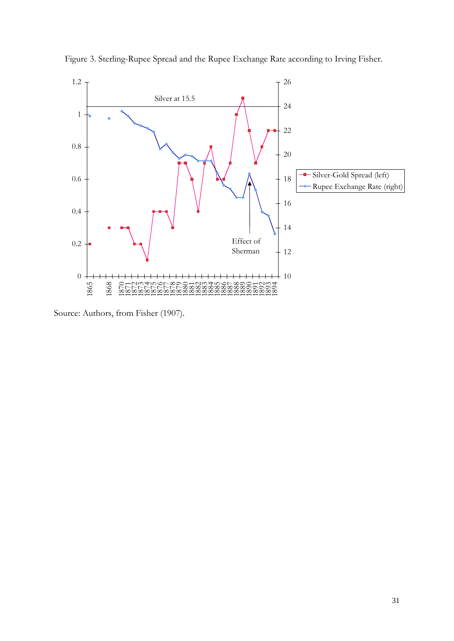

Figure 3. Sterling-Rupee Spread and the Rupee Exchange Rate according to Irving Fisher.

Source: Authors, from Fisher (1907).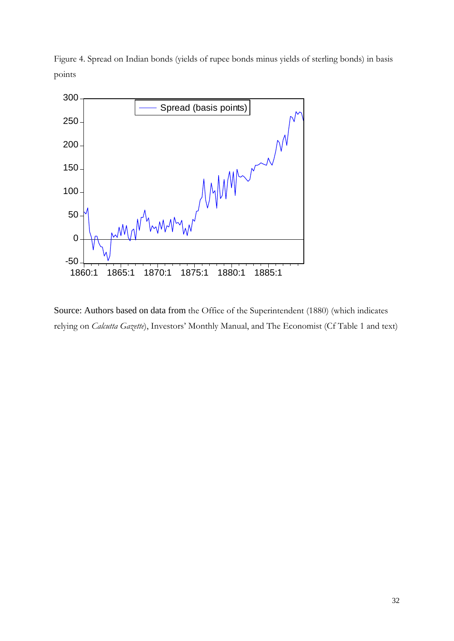



Source: Authors based on data from the Office of the Superintendent (1880) (which indicates relying on *Calcutta Gazette*), Investors' Monthly Manual, and The Economist (Cf Table 1 and text)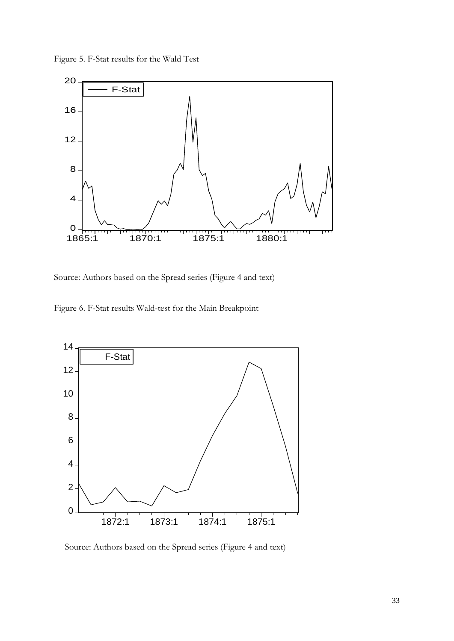Figure 5. F-Stat results for the Wald Test



Source: Authors based on the Spread series (Figure 4 and text)

Figure 6. F-Stat results Wald-test for the Main Breakpoint



Source: Authors based on the Spread series (Figure 4 and text)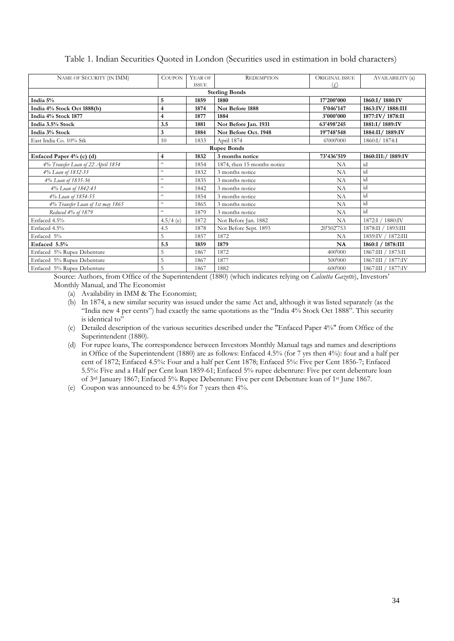# Table 1. Indian Securities Quoted in London (Securities used in estimation in bold characters)

| NAME OF SECURITY (IN IMM)                                     | <b>COUPON</b>      | YEAR OF | <b>REDEMPTION</b>           | <b>ORIGINAL ISSUE</b> | AVAILABILITY (a)   |  |
|---------------------------------------------------------------|--------------------|---------|-----------------------------|-----------------------|--------------------|--|
| $(\Gamma)$<br><b>ISSUE</b><br><b>Sterling Bonds</b>           |                    |         |                             |                       |                    |  |
| India 5%<br>1880<br>17'200'000<br>1860:I/1880:IV<br>5<br>1859 |                    |         |                             |                       |                    |  |
| India 4% Stock Oct 1888(b)                                    | 4                  | 1874    | Not Before 1888             | 5'046'147             | 1863:IV/1888:III   |  |
| India 4% Stock 1877                                           | 4                  | 1877    | 1884                        | 3'000'000             | 1877:IV/1878:II    |  |
| India 3.5% Stock                                              | 3.5                | 1881    | Not Before Jan. 1931        | 63'498'245            | 1881:I/1889:IV     |  |
| India 3% Stock                                                | 3                  | 1884    | Not Before Oct. 1948        | 19'748'548            | 1884:II/1889:IV    |  |
| East India Co. 10% Stk                                        | 10                 | 1833    | April 1874                  | 6'000'000             | 1860:I/1874:I      |  |
|                                                               |                    |         | <b>Rupee Bonds</b>          |                       |                    |  |
| Enfaced Paper 4% (c) (d)                                      | 4                  | 1832    | 3 months notice             | 73'436'519            | 1860:III:/ 1889:IV |  |
| 4% Transfer Loan of 22 April 1854                             | $\epsilon$         | 1854    | 1874, then 15 months notice | NA                    | id                 |  |
| 4% Loan of 1832-33                                            | $\epsilon$         | 1832    | 3 months notice             | NA                    | id                 |  |
| 4% Loan of 1835-36                                            | $\epsilon$         | 1835    | 3 months notice             | NA                    | id                 |  |
| 4% Loan of 1842-43                                            | $\epsilon$         | 1842    | 3 months notice             | NA                    | id                 |  |
| 4% Loan of 1854-55                                            | $\zeta\,\zeta$     | 1854    | 3 months notice             | NA                    | id                 |  |
| 4% Transfer Loan of 1st may 1865                              | $\epsilon$         | 1865    | 3 months notice             | NA                    | id                 |  |
| Reduced 4% of 1879                                            | $\epsilon\epsilon$ | 1879    | 3 months notice             | NA                    | id                 |  |
| Enfaced 4.5%                                                  | $4.5/4$ (e)        | 1872    | Not Before Jan. 1882        | NA                    | 1872:I / 1880:IV   |  |
| Enfaced 4.5%                                                  | 4.5                | 1878    | Not Before Sept. 1893       | 20'502'753            | 1878:II / 1893:III |  |
| Enfaced 5%                                                    | 5                  | 1857    | 1872                        | NA                    | 1859:IV / 1872:III |  |
| Enfaced 5.5%                                                  | 5.5                | 1859    | 1879                        | <b>NA</b>             | 1860:I / 1878:III  |  |
| Enfaced 5% Rupee Debenture                                    | 5                  | 1867    | 1872                        | 400'000               | 1867:III / 1873:II |  |
| Enfaced 5% Rupee Debenture                                    | 5                  | 1867    | 1877                        | 500'000               | 1867:III / 1877:IV |  |
| Enfaced 5% Rupee Debenture                                    | 5                  | 1867    | 1882                        | 600'000               | 1867:III / 1877:IV |  |

Source: Authors, from Office of the Superintendent (1880) (which indicates relying on *Calcutta Gazette*), Investors' Monthly Manual, and The Economist

(a) Availability in IMM & The Economist;

- (b) In 1874, a new similar security was issued under the same Act and, although it was listed separately (as the "India new 4 per cents") had exactly the same quotations as the "India 4% Stock Oct 1888". This security is identical to"
- (c) Detailed description of the various securities described under the "Enfaced Paper 4%" from Office of the Superintendent (1880).
- (d) For rupee loans, The correspondence between Investors Monthly Manual tags and names and descriptions in Office of the Superintendent (1880) are as follows: Enfaced 4.5% (for 7 yrs then 4%): four and a half per cent of 1872; Enfaced 4.5%: Four and a half per Cent 1878; Enfaced 5%: Five per Cent 1856-7; Enfaced 5.5%: Five and a Half per Cent loan 1859-61; Enfaced 5% rupee debenture: Five per cent debenture loan of 3rd January 1867; Enfaced 5% Rupee Debenture: Five per cent Debenture loan of 1st June 1867.

(e) Coupon was announced to be 4.5% for 7 years then 4%.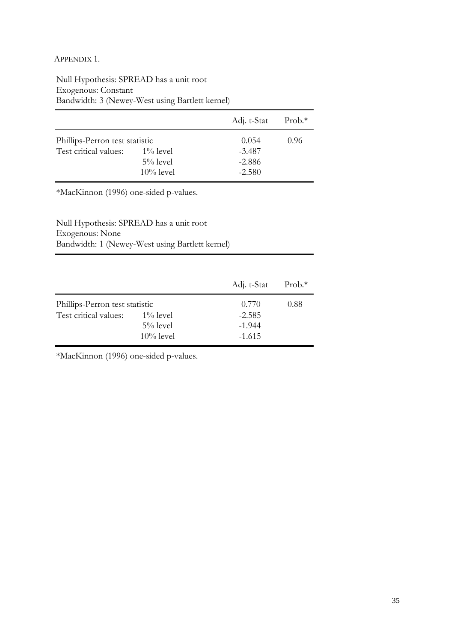# APPENDIX 1.

# Null Hypothesis: SPREAD has a unit root Exogenous: Constant Bandwidth: 3 (Newey-West using Bartlett kernel)

|                                |              | Adj. t-Stat | $Prob.*$ |
|--------------------------------|--------------|-------------|----------|
| Phillips-Perron test statistic |              | 0.054       | 0.96     |
| Test critical values:          | $1\%$ level  | $-3.487$    |          |
|                                | $5\%$ level  | $-2.886$    |          |
|                                | $10\%$ level | $-2.580$    |          |

\*MacKinnon (1996) one-sided p-values.

Null Hypothesis: SPREAD has a unit root Exogenous: None Bandwidth: 1 (Newey-West using Bartlett kernel)

|                                |              | Adj. t-Stat | $Prob.*$ |
|--------------------------------|--------------|-------------|----------|
| Phillips-Perron test statistic |              | 0.770       | 0.88     |
| Test critical values:          | $1\%$ level  | $-2.585$    |          |
|                                | $5\%$ level  | $-1.944$    |          |
|                                | $10\%$ level | $-1.615$    |          |

\*MacKinnon (1996) one-sided p-values.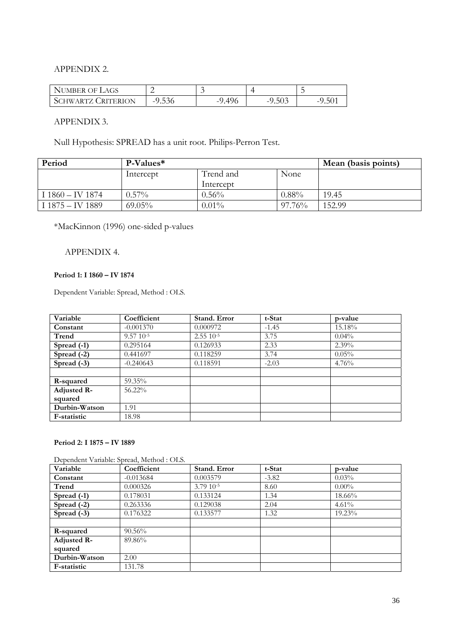APPENDIX 2.

| umber of Lags<br>NH. |       |          |          | . .   |
|----------------------|-------|----------|----------|-------|
| SCHWARTZ C           | 9.536 | $-9.496$ | 9.503    | 9.501 |
| ^RITERION            | $-9$  |          | $ \cdot$ | -     |

APPENDIX 3.

Null Hypothesis: SPREAD has a unit root. Philips-Perron Test.

| Period               | P-Values* |           |          | Mean (basis points) |
|----------------------|-----------|-----------|----------|---------------------|
|                      | Intercept | Trend and | None     |                     |
|                      |           | Intercept |          |                     |
| I $1860 -$ IV $1874$ | $0.57\%$  | $0.56\%$  | $0.88\%$ | 19.45               |
| $I$ 1875 – IV 1889   | $69.05\%$ | $0.01\%$  | 97.76%   | 152.99              |

\*MacKinnon (1996) one-sided p-values

# APPENDIX 4.

## **Period 1: I 1860 – IV 1874**

Dependent Variable: Spread, Method : OLS.

| Variable            | Coefficient   | Stand. Error            | t-Stat  | p-value  |
|---------------------|---------------|-------------------------|---------|----------|
| Constant            | $-0.001370$   | 0.000972                | $-1.45$ | 15.18%   |
| Trend               | $9.5710^{-5}$ | $2.55$ 10 <sup>-5</sup> | 3.75    | $0.04\%$ |
| Spread (-1)         | 0.295164      | 0.126933                | 2.33    | $2.39\%$ |
| Spread $(-2)$       | 0.441697      | 0.118259                | 3.74    | $0.05\%$ |
| Spread $(-3)$       | $-0.240643$   | 0.118591                | $-2.03$ | 4.76%    |
|                     |               |                         |         |          |
| R-squared           | 59.35%        |                         |         |          |
| <b>Adjusted R-</b>  | 56.22%        |                         |         |          |
| squared             |               |                         |         |          |
| Durbin-Watson       | 1.91          |                         |         |          |
| <b>F</b> -statistic | 18.98         |                         |         |          |

#### **Period 2: I 1875 – IV 1889**

Dependent Variable: Spread, Method : OLS.

| Variable            | Coefficient | Stand. Error  | t-Stat  | p-value   |
|---------------------|-------------|---------------|---------|-----------|
| Constant            | $-0.013684$ | 0.003579      | $-3.82$ | $0.03\%$  |
| Trend               | 0.000326    | $3.7910^{-5}$ | 8.60    | $0.00\%$  |
| Spread (-1)         | 0.178031    | 0.133124      | 1.34    | 18.66%    |
| Spread (-2)         | 0.263336    | 0.129038      | 2.04    | $4.61\%$  |
| Spread $(-3)$       | 0.176322    | 0.133577      | 1.32    | $19.23\%$ |
|                     |             |               |         |           |
| R-squared           | $90.56\%$   |               |         |           |
| <b>Adjusted R-</b>  | 89.86%      |               |         |           |
| squared             |             |               |         |           |
| Durbin-Watson       | 2.00        |               |         |           |
| <b>F</b> -statistic | 131.78      |               |         |           |